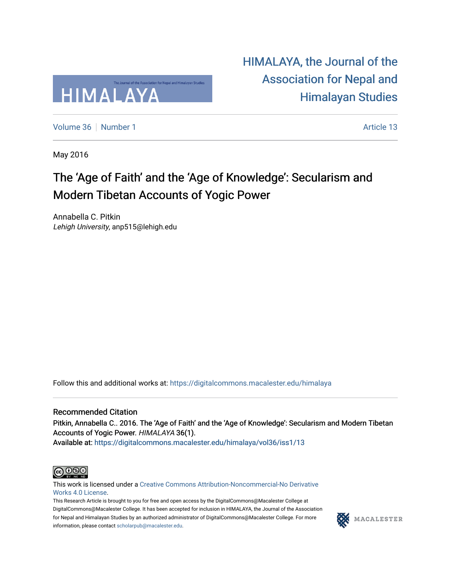

[HIMALAYA, the Journal of the](https://digitalcommons.macalester.edu/himalaya)  [Association for Nepal and](https://digitalcommons.macalester.edu/himalaya)  [Himalayan Studies](https://digitalcommons.macalester.edu/himalaya) 

[Volume 36](https://digitalcommons.macalester.edu/himalaya/vol36) [Number 1](https://digitalcommons.macalester.edu/himalaya/vol36/iss1) Article 13

May 2016

### The 'Age of Faith' and the 'Age of Knowledge': Secularism and Modern Tibetan Accounts of Yogic Power

Annabella C. Pitkin Lehigh University, anp515@lehigh.edu

Follow this and additional works at: [https://digitalcommons.macalester.edu/himalaya](https://digitalcommons.macalester.edu/himalaya?utm_source=digitalcommons.macalester.edu%2Fhimalaya%2Fvol36%2Fiss1%2F13&utm_medium=PDF&utm_campaign=PDFCoverPages)

#### Recommended Citation

Pitkin, Annabella C.. 2016. The 'Age of Faith' and the 'Age of Knowledge': Secularism and Modern Tibetan Accounts of Yogic Power. HIMALAYA 36(1).

Available at: https:/[/digitalcommons.macalester.edu/himala](https://digitalcommons.macalester.edu/himalaya/vol36/iss1/13?utm_source=digitalcommons.macalester.edu%2Fhimalaya%2Fvol36%2Fiss1%2F13&utm_medium=PDF&utm_campaign=PDFCoverPages)ya/vol36/iss1/13



This work is licensed under a [Creative Commons Attribution-Noncommercial-No Derivative](https://creativecommons.org/licenses/by-nc-nd/4.0/)  [Works 4.0 License](https://creativecommons.org/licenses/by-nc-nd/4.0/).

This Research Article is brought to you for free and open access by the DigitalCommons@Macalester College at DigitalCommons@Macalester College. It has been accepted for inclusion in HIMALAYA, the Journal of the Association for Nepal and Himalayan Studies by an authorized administrator of DigitalCommons@Macalester College. For more information, please contact [scholarpub@macalester.edu](mailto:scholarpub@macalester.edu).

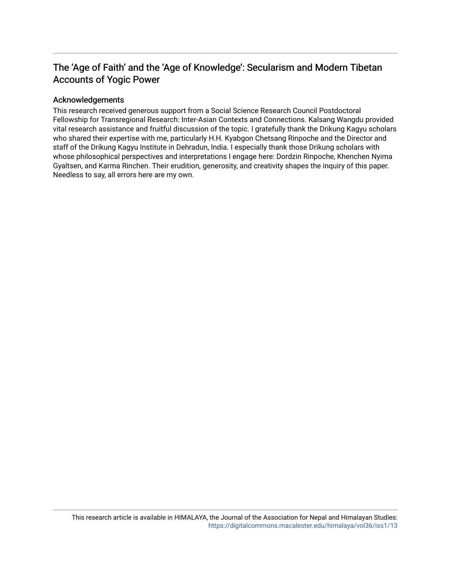### The 'Age of Faith' and the 'Age of Knowledge': Secularism and Modern Tibetan Accounts of Yogic Power

#### Acknowledgements

This research received generous support from a Social Science Research Council Postdoctoral Fellowship for Transregional Research: Inter-Asian Contexts and Connections. Kalsang Wangdu provided vital research assistance and fruitful discussion of the topic. I gratefully thank the Drikung Kagyu scholars who shared their expertise with me, particularly H.H. Kyabgon Chetsang Rinpoche and the Director and staff of the Drikung Kagyu Institute in Dehradun, India. I especially thank those Drikung scholars with whose philosophical perspectives and interpretations I engage here: Dordzin Rinpoche, Khenchen Nyima Gyaltsen, and Karma Rinchen. Their erudition, generosity, and creativity shapes the inquiry of this paper. Needless to say, all errors here are my own.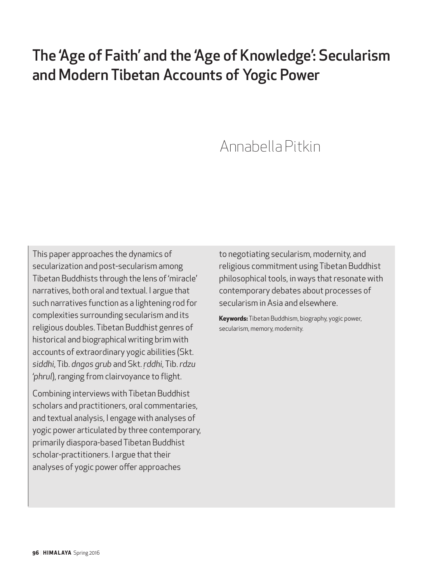# The 'Age of Faith' and the 'Age of Knowledge': Secularism and Modern Tibetan Accounts of Yogic Power

## Annabella Pitkin

This paper approaches the dynamics of secularization and post-secularism among Tibetan Buddhists through the lens of 'miracle' narratives, both oral and textual. I argue that such narratives function as a lightening rod for complexities surrounding secularism and its religious doubles. Tibetan Buddhist genres of historical and biographical writing brim with accounts of extraordinary yogic abilities (Skt. *siddhi*, Tib. *dngos grub* and Skt. *ṛddhi*, Tib. *rdzu 'phrul*), ranging from clairvoyance to flight.

Combining interviews with Tibetan Buddhist scholars and practitioners, oral commentaries, and textual analysis, I engage with analyses of yogic power articulated by three contemporary, primarily diaspora-based Tibetan Buddhist scholar-practitioners. I argue that their analyses of yogic power offer approaches

to negotiating secularism, modernity, and religious commitment using Tibetan Buddhist philosophical tools, in ways that resonate with contemporary debates about processes of secularism in Asia and elsewhere.

**Keywords:** Tibetan Buddhism, biography, yogic power, secularism, memory, modernity.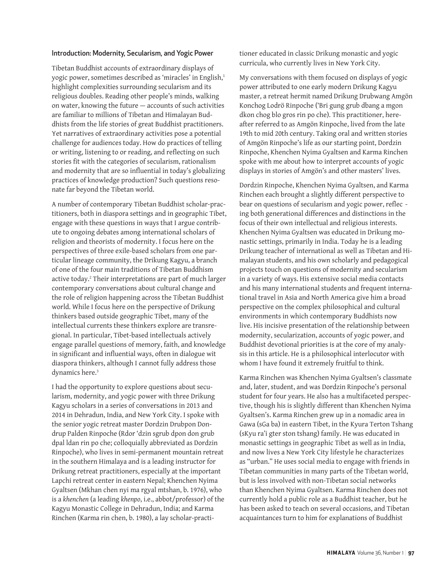#### Introduction: Modernity, Secularism, and Yogic Power

Tibetan Buddhist accounts of extraordinary displays of yogic power, sometimes described as 'miracles' in English,<sup>1</sup> highlight complexities surrounding secularism and its religious doubles. Reading other people's minds, walking on water, knowing the future — accounts of such activities are familiar to millions of Tibetan and Himalayan Buddhists from the life stories of great Buddhist practitioners. Yet narratives of extraordinary activities pose a potential challenge for audiences today. How do practices of telling or writing, listening to or reading, and reflecting on such stories fit with the categories of secularism, rationalism and modernity that are so influential in today's globalizing practices of knowledge production? Such questions resonate far beyond the Tibetan world.

A number of contemporary Tibetan Buddhist scholar-practitioners, both in diaspora settings and in geographic Tibet, engage with these questions in ways that I argue contribute to ongoing debates among international scholars of religion and theorists of modernity. I focus here on the perspectives of three exile-based scholars from one particular lineage community, the Drikung Kagyu, a branch of one of the four main traditions of Tibetan Buddhism active today.2 Their interpretations are part of much larger contemporary conversations about cultural change and the role of religion happening across the Tibetan Buddhist world. While I focus here on the perspective of Drikung thinkers based outside geographic Tibet, many of the intellectual currents these thinkers explore are transregional. In particular, Tibet-based intellectuals actively engage parallel questions of memory, faith, and knowledge in significant and influential ways, often in dialogue wit diaspora thinkers, although I cannot fully address those dynamics here.<sup>3</sup>

I had the opportunity to explore questions about secularism, modernity, and yogic power with three Drikung Kagyu scholars in a series of conversations in 2013 and 2014 in Dehradun, India, and New York City. I spoke with the senior yogic retreat master Dordzin Drubpon Dondrup Palden Rinpoche (Rdor 'dzin sgrub dpon don grub dpal ldan rin po che; colloquially abbreviated as Dordzin Rinpoche), who lives in semi-permanent mountain retreat in the southern Himalaya and is a leading instructor for Drikung retreat practitioners, especially at the important Lapchi retreat center in eastern Nepal; Khenchen Nyima Gyaltsen (Mkhan chen nyi ma rgyal mtshan, b. 1976), who is a *khenchen* (a leading *khenpo*, i.e., abbot/professor) of the Kagyu Monastic College in Dehradun, India; and Karma Rinchen (Karma rin chen, b. 1980), a lay scholar-practitioner educated in classic Drikung monastic and yogic curricula, who currently lives in New York City.

My conversations with them focused on displays of yogic power attributed to one early modern Drikung Kagyu master, a retreat hermit named Drikung Drubwang Amgön Konchog Lodrö Rinpoche ('Bri gung grub dbang a mgon dkon chog blo gros rin po che). This practitioner, hereafter referred to as Amgön Rinpoche, lived from the late 19th to mid 20th century. Taking oral and written stories of Amgön Rinpoche's life as our starting point, Dordzin Rinpoche, Khenchen Nyima Gyaltsen and Karma Rinchen spoke with me about how to interpret accounts of yogic displays in stories of Amgön's and other masters' lives.

Dordzin Rinpoche, Khenchen Nyima Gyaltsen, and Karma Rinchen each brought a slightly different perspective to bear on questions of secularism and yogic power, reflec ing both generational differences and distinctions in the focus of their own intellectual and religious interests. Khenchen Nyima Gyaltsen was educated in Drikung monastic settings, primarily in India. Today he is a leading Drikung teacher of international as well as Tibetan and Himalayan students, and his own scholarly and pedagogical projects touch on questions of modernity and secularism in a variety of ways. His extensive social media contacts and his many international students and frequent international travel in Asia and North America give him a broad perspective on the complex philosophical and cultural environments in which contemporary Buddhists now live. His incisive presentation of the relationship between modernity, secularization, accounts of yogic power, and Buddhist devotional priorities is at the core of my analysis in this article. He is a philosophical interlocutor with whom I have found it extremely fruitful to think.

Karma Rinchen was Khenchen Nyima Gyaltsen's classmate and, later, student, and was Dordzin Rinpoche's personal student for four years. He also has a multifaceted perspective, though his is slightly different than Khenchen Nyima Gyaltsen's. Karma Rinchen grew up in a nomadic area in Gawa (sGa ba) in eastern Tibet, in the Kyura Terton Tshang (sKyu ra'i gter ston tshang) family. He was educated in monastic settings in geographic Tibet as well as in India, and now lives a New York City lifestyle he characterizes as "urban." He uses social media to engage with friends in Tibetan communities in many parts of the Tibetan world, but is less involved with non-Tibetan social networks than Khenchen Nyima Gyaltsen. Karma Rinchen does not currently hold a public role as a Buddhist teacher, but he has been asked to teach on several occasions, and Tibetan acquaintances turn to him for explanations of Buddhist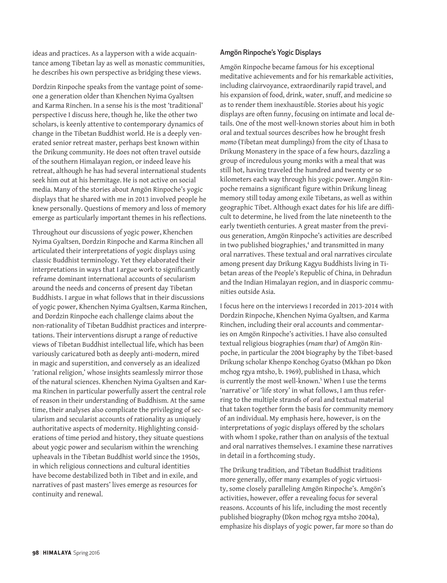ideas and practices. As a layperson with a wide acquaintance among Tibetan lay as well as monastic communities, he describes his own perspective as bridging these views.

Dordzin Rinpoche speaks from the vantage point of someone a generation older than Khenchen Nyima Gyaltsen and Karma Rinchen. In a sense his is the most 'traditional' perspective I discuss here, though he, like the other two scholars, is keenly attentive to contemporary dynamics of change in the Tibetan Buddhist world. He is a deeply venerated senior retreat master, perhaps best known within the Drikung community. He does not often travel outside of the southern Himalayan region, or indeed leave his retreat, although he has had several international students seek him out at his hermitage. He is not active on social media. Many of the stories about Amgön Rinpoche's yogic displays that he shared with me in 2013 involved people he knew personally. Questions of memory and loss of memory emerge as particularly important themes in his reflections.

Throughout our discussions of yogic power, Khenchen Nyima Gyaltsen, Dordzin Rinpoche and Karma Rinchen all articulated their interpretations of yogic displays using classic Buddhist terminology. Yet they elaborated their interpretations in ways that I argue work to significantly reframe dominant international accounts of secularism around the needs and concerns of present day Tibetan Buddhists. I argue in what follows that in their discussions of yogic power, Khenchen Nyima Gyaltsen, Karma Rinchen, and Dordzin Rinpoche each challenge claims about the non-rationality of Tibetan Buddhist practices and interpretations. Their interventions disrupt a range of reductive views of Tibetan Buddhist intellectual life, which has been variously caricatured both as deeply anti-modern, mired in magic and superstition, and conversely as an idealized 'rational religion,' whose insights seamlessly mirror those of the natural sciences. Khenchen Nyima Gyaltsen and Karma Rinchen in particular powerfully assert the central role of reason in their understanding of Buddhism. At the same time, their analyses also complicate the privileging of secularism and secularist accounts of rationality as uniquely authoritative aspects of modernity. Highlighting considerations of time period and history, they situate questions about yogic power and secularism within the wrenching upheavals in the Tibetan Buddhist world since the 1950s, in which religious connections and cultural identities have become destabilized both in Tibet and in exile, and narratives of past masters' lives emerge as resources for continuity and renewal.

#### Amgön Rinpoche's Yogic Displays

Amgön Rinpoche became famous for his exceptional meditative achievements and for his remarkable activities, including clairvoyance, extraordinarily rapid travel, and his expansion of food, drink, water, snuff, and medicine so as to render them inexhaustible. Stories about his yogic displays are often funny, focusing on intimate and local details. One of the most well-known stories about him in both oral and textual sources describes how he brought fresh *momo* (Tibetan meat dumplings) from the city of Lhasa to Drikung Monastery in the space of a few hours, dazzling a group of incredulous young monks with a meal that was still hot, having traveled the hundred and twenty or so kilometers each way through his yogic power. Amgön Rinpoche remains a significant figure within Drikung lineag memory still today among exile Tibetans, as well as within geographic Tibet. Although exact dates for his life are difficult to determine, he lived from the late nineteenth to the early twentieth centuries. A great master from the previous generation, Amgön Rinpoche's activities are described in two published biographies,<sup>4</sup> and transmitted in many oral narratives. These textual and oral narratives circulate among present day Drikung Kagyu Buddhists living in Tibetan areas of the People's Republic of China, in Dehradun and the Indian Himalayan region, and in diasporic communities outside Asia.

I focus here on the interviews I recorded in 2013-2014 with Dordzin Rinpoche, Khenchen Nyima Gyaltsen, and Karma Rinchen, including their oral accounts and commentaries on Amgön Rinpoche's activities. I have also consulted textual religious biographies (*rnam thar*) of Amgön Rinpoche, in particular the 2004 biography by the Tibet-based Drikung scholar Khenpo Konchog Gyatso (Mkhan po Dkon mchog rgya mtsho, b. 1969), published in Lhasa, which is currently the most well-known.<sup>5</sup> When I use the terms 'narrative' or 'life story' in what follows, I am thus referring to the multiple strands of oral and textual material that taken together form the basis for community memory of an individual. My emphasis here, however, is on the interpretations of yogic displays offered by the scholars with whom I spoke, rather than on analysis of the textual and oral narratives themselves. I examine these narratives in detail in a forthcoming study.

The Drikung tradition, and Tibetan Buddhist traditions more generally, offer many examples of yogic virtuosity, some closely paralleling Amgön Rinpoche's. Amgön's activities, however, offer a revealing focus for several reasons. Accounts of his life, including the most recently published biography (Dkon mchog rgya mtsho 2004a), emphasize his displays of yogic power, far more so than do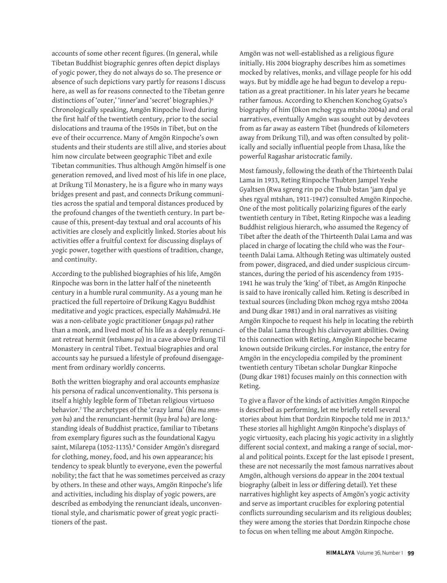accounts of some other recent figures. (In general, while Tibetan Buddhist biographic genres often depict displays of yogic power, they do not always do so. The presence or absence of such depictions vary partly for reasons I discuss here, as well as for reasons connected to the Tibetan genre distinctions of 'outer,' 'inner'and 'secret' biographies.)<sup>6</sup> Chronologically speaking, Amgön Rinpoche lived during the first half of the twentieth century, prior to the social dislocations and trauma of the 1950s in Tibet, but on the eve of their occurrence. Many of Amgön Rinpoche's own students and their students are still alive, and stories about him now circulate between geographic Tibet and exile Tibetan communities. Thus although Amgön himself is one generation removed, and lived most of his life in one place, at Drikung Til Monastery, he is a figure who in many ways bridges present and past, and connects Drikung communities across the spatial and temporal distances produced by the profound changes of the twentieth century. In part because of this, present-day textual and oral accounts of his activities are closely and explicitly linked. Stories about his activities offer a fruitful context for discussing displays of yogic power, together with questions of tradition, change, and continuity.

According to the published biographies of his life, Amgön Rinpoche was born in the latter half of the nineteenth century in a humble rural community. As a young man he practiced the full repertoire of Drikung Kagyu Buddhist meditative and yogic practices, especially *Mahāmudrā*. He was a non-celibate yogic practitioner (*sngags pa*) rather than a monk, and lived most of his life as a deeply renunciant retreat hermit (*mtshams pa*) in a cave above Drikung Til Monastery in central Tibet. Textual biographies and oral accounts say he pursued a lifestyle of profound disengagement from ordinary worldly concerns.

Both the written biography and oral accounts emphasize his persona of radical unconventionality. This persona is itself a highly legible form of Tibetan religious virtuoso behavior.7 The archetypes of the 'crazy lama' (*bla ma smnyon ba*) and the renunciant-hermit (*bya bral ba*) are longstanding ideals of Buddhist practice, familiar to Tibetans from exemplary figures such as the foundational Kagyu saint, Milarepa (1052-1135).<sup>8</sup> Consider Amgön's disregard for clothing, money, food, and his own appearance; his tendency to speak bluntly to everyone, even the powerful nobility; the fact that he was sometimes perceived as crazy by others. In these and other ways, Amgön Rinpoche's life and activities, including his display of yogic powers, are described as embodying the renunciant ideals, unconventional style, and charismatic power of great yogic practitioners of the past.

Amgön was not well-established as a religious figure initially. His 2004 biography describes him as sometimes mocked by relatives, monks, and village people for his odd ways. But by middle age he had begun to develop a reputation as a great practitioner. In his later years he became rather famous. According to Khenchen Konchog Gyatso's biography of him (Dkon mchog rgya mtsho 2004a) and oral narratives, eventually Amgön was sought out by devotees from as far away as eastern Tibet (hundreds of kilometers away from Drikung Til), and was often consulted by politically and socially influential people from Lhasa, like the powerful Ragashar aristocratic family.

Most famously, following the death of the Thirteenth Dalai Lama in 1933, Reting Rinpoche Thubten Jampel Yeshe Gyaltsen (Rwa sgreng rin po che Thub bstan 'jam dpal ye shes rgyal mtshan, 1911-1947) consulted Amgön Rinpoche. One of the most politically polarizing figures of the early twentieth century in Tibet, Reting Rinpoche was a leading Buddhist religious hierarch, who assumed the Regency of Tibet after the death of the Thirteenth Dalai Lama and was placed in charge of locating the child who was the Fourteenth Dalai Lama. Although Reting was ultimately ousted from power, disgraced, and died under suspicious circumstances, during the period of his ascendency from 1935- 1941 he was truly the 'king' of Tibet, as Amgön Rinpoche is said to have ironically called him. Reting is described in textual sources (including Dkon mchog rgya mtsho 2004a and Dung dkar 1981) and in oral narratives as visiting Amgön Rinpoche to request his help in locating the rebirth of the Dalai Lama through his clairvoyant abilities. Owing to this connection with Reting, Amgön Rinpoche became known outside Drikung circles. For instance, the entry for Amgön in the encyclopedia compiled by the prominent twentieth century Tibetan scholar Dungkar Rinpoche (Dung dkar 1981) focuses mainly on this connection with Reting.

To give a flavor of the kinds of activities Amgön Rinpoche is described as performing, let me briefly retell several stories about him that Dordzin Rinpoche told me in 2013.9 These stories all highlight Amgön Rinpoche's displays of yogic virtuosity, each placing his yogic activity in a slightly different social context, and making a range of social, moral and political points. Except for the last episode I present, these are not necessarily the most famous narratives about Amgön, although versions do appear in the 2004 textual biography (albeit in less or differing detail). Yet these narratives highlight key aspects of Amgön's yogic activity and serve as important crucibles for exploring potential conflicts surrounding secularism and its religious doubles; they were among the stories that Dordzin Rinpoche chose to focus on when telling me about Amgön Rinpoche.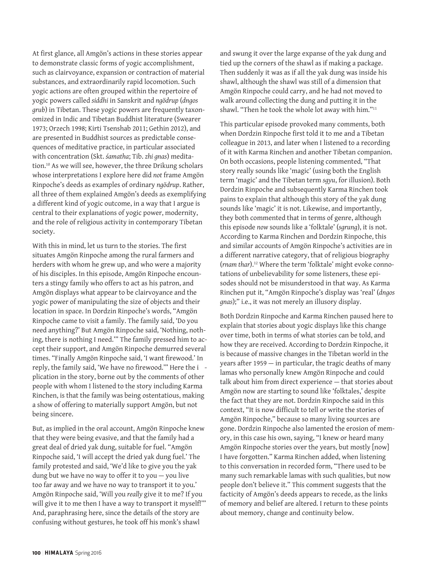At first glance, all Amgön's actions in these stories appear to demonstrate classic forms of yogic accomplishment, such as clairvoyance, expansion or contraction of material substances, and extraordinarily rapid locomotion. Such yogic actions are often grouped within the repertoire of yogic powers called *siddhi* in Sanskrit and *ngödrup* (*dngos grub*) in Tibetan. These yogic powers are frequently taxonomized in Indic and Tibetan Buddhist literature (Swearer 1973; Orzech 1998; Kirti Tsenshab 2011; Gethin 2012), and are presented in Buddhist sources as predictable consequences of meditative practice, in particular associated with concentration (Skt. *śamatha*; Tib. *zhi gnas*) meditation.10 As we will see, however, the three Drikung scholars whose interpretations I explore here did *not* frame Amgön Rinpoche's deeds as examples of ordinary *ngödrup*. Rather, all three of them explained Amgön's deeds as exemplifying a different kind of yogic outcome, in a way that I argue is central to their explanations of yogic power, modernity, and the role of religious activity in contemporary Tibetan society.

With this in mind, let us turn to the stories. The first situates Amgön Rinpoche among the rural farmers and herders with whom he grew up, and who were a majority of his disciples. In this episode, Amgön Rinpoche encounters a stingy family who offers to act as his patron, and Amgön displays what appear to be clairvoyance and the yogic power of manipulating the size of objects and their location in space. In Dordzin Rinpoche's words, "Amgön Rinpoche came to visit a family. The family said, 'Do you need anything?' But Amgön Rinpoche said, 'Nothing, nothing, there is nothing I need.'" The family pressed him to accept their support, and Amgön Rinpoche demurred several times. "Finally Amgön Rinpoche said, 'I want firewood.' In reply, the family said, 'We have no firewood.'" Here the i plication in the story, borne out by the comments of other people with whom I listened to the story including Karma Rinchen, is that the family was being ostentatious, making a show of offering to materially support Amgön, but not being sincere.

But, as implied in the oral account, Amgön Rinpoche knew that they were being evasive, and that the family had a great deal of dried yak dung, suitable for fuel. "Amgön Rinpoche said, 'I will accept the dried yak dung fuel.' The family protested and said, 'We'd like to give you the yak dung but we have no way to offer it to you — you live too far away and we have no way to transport it to you.' Amgön Rinpoche said, 'Will you *really* give it to me? If you will give it to me then I have a way to transport it myself!" And, paraphrasing here, since the details of the story are confusing without gestures, he took off his monk's shawl

and swung it over the large expanse of the yak dung and tied up the corners of the shawl as if making a package. Then suddenly it was as if all the yak dung was inside his shawl, although the shawl was still of a dimension that Amgön Rinpoche could carry, and he had not moved to walk around collecting the dung and putting it in the shawl. "Then he took the whole lot away with him."11

This particular episode provoked many comments, both when Dordzin Rinpoche first told it to me and a Tibetan colleague in 2013, and later when I listened to a recording of it with Karma Rinchen and another Tibetan companion. On both occasions, people listening commented, "That story really sounds like 'magic' (using both the English term 'magic' and the Tibetan term *sgyu*, for illusion). Both Dordzin Rinpoche and subsequently Karma Rinchen took pains to explain that although this story of the yak dung sounds like 'magic' it is not. Likewise, and importantly, they both commented that in terms of genre, although this episode *now* sounds like a 'folktale' (*sgrung*), it is not. According to Karma Rinchen and Dordzin Rinpoche, this and similar accounts of Amgön Rinpoche's activities are in a different narrative category, that of religious biography (*rnam thar*).12 Where the term 'folktale' might evoke connotations of unbelievability for some listeners, these episodes should not be misunderstood in that way. As Karma Rinchen put it, "Amgön Rinpoche's display was 'real' (*dngos gnas*);" i.e., it was not merely an illusory display.

Both Dordzin Rinpoche and Karma Rinchen paused here to explain that stories about yogic displays like this change over time, both in terms of what stories can be told, and how they are received. According to Dordzin Rinpoche, it is because of massive changes in the Tibetan world in the years after 1959 — in particular, the tragic deaths of many lamas who personally knew Amgön Rinpoche and could talk about him from direct experience — that stories about Amgön now are starting to sound like 'folktales,' despite the fact that they are not. Dordzin Rinpoche said in this context, "It is now difficult to tell or write the stories of Amgön Rinpoche," because so many living sources are gone. Dordzin Rinpoche also lamented the erosion of memory, in this case his own, saying, "I knew or heard many Amgön Rinpoche stories over the years, but mostly [now] I have forgotten." Karma Rinchen added, when listening to this conversation in recorded form, "There used to be many such remarkable lamas with such qualities, but now people don't believe it." This comment suggests that the facticity of Amgön's deeds appears to recede, as the links of memory and belief are altered. I return to these points about memory, change and continuity below.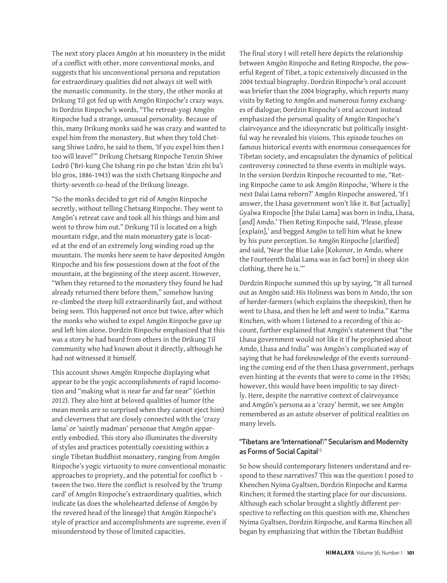The next story places Amgön at his monastery in the midst of a conflict with other, more conventional monks, and suggests that his unconventional persona and reputation for extraordinary qualities did not always sit well with the monastic community. In the story, the other monks at Drikung Til got fed up with Amgön Rinpoche's crazy ways. In Dordzin Rinpoche's words, "The retreat-yogi Amgön Rinpoche had a strange, unusual personality. Because of this, many Drikung monks said he was crazy and wanted to expel him from the monastery. But when they told Chetsang Shiwe Lodro, he said to them, 'If you expel him then I too will leave!'" Drikung Chetsang Rinpoche Tenzin Shiwe Lodrö ('Bri-kung Che tshang rin po che bstan 'dzin zhi ba'i blo gros, 1886-1943) was the sixth Chetsang Rinpoche and thirty-seventh co-head of the Drikung lineage.

"So the monks decided to get rid of Amgön Rinpoche secretly, without telling Chetsang Rinpoche. They went to Amgön's retreat cave and took all his things and him and went to throw him out." Drikung Til is located on a high mountain ridge, and the main monastery gate is located at the end of an extremely long winding road up the mountain. The monks here seem to have deposited Amgön Rinpoche and his few possessions down at the foot of the mountain, at the beginning of the steep ascent. However, "When they returned to the monastery they found he had already returned there before them," somehow having re-climbed the steep hill extraordinarily fast, and without being seen. This happened not once but twice, after which the monks who wished to expel Amgön Rinpoche gave up and left him alone. Dordzin Rinpoche emphasized that this was a story he had heard from others in the Drikung Til community who had known about it directly, although he had not witnessed it himself.

This account shows Amgön Rinpoche displaying what appear to be the yogic accomplishments of rapid locomotion and "making what is near far and far near" (Gethin 2012). They also hint at beloved qualities of humor (the mean monks are so surprised when they cannot eject him) and cleverness that are closely connected with the 'crazy lama' or 'saintly madman' personae that Amgön apparently embodied. This story also illuminates the diversity of styles and practices potentially coexisting within a single Tibetan Buddhist monastery, ranging from Amgön Rinpoche's yogic virtuosity to more conventional monastic approaches to propriety, and the potential for conflict b tween the two. Here the conflict is resolved by the 'trump card' of Amgön Rinpoche's extraordinary qualities, which indicate (as does the wholehearted defense of Amgön by the revered head of the lineage) that Amgön Rinpoche's style of practice and accomplishments are supreme, even if misunderstood by those of limited capacities.

The final story I will retell here depicts the relationship between Amgön Rinpoche and Reting Rinpoche, the powerful Regent of Tibet, a topic extensively discussed in the 2004 textual biography. Dordzin Rinpoche's oral account was briefer than the 2004 biography, which reports many visits by Reting to Amgön and numerous funny exchanges of dialogue; Dordzin Rinpoche's oral account instead emphasized the personal quality of Amgön Rinpoche's clairvoyance and the idiosyncratic but politically insightful way he revealed his visions. This episode touches on famous historical events with enormous consequences for Tibetan society, and encapsulates the dynamics of political controversy connected to these events in multiple ways. In the version Dordzin Rinpoche recounted to me, "Reting Rinpoche came to ask Amgön Rinpoche, 'Where is the next Dalai Lama reborn?' Amgön Rinpoche answered, 'If I answer, the Lhasa government won't like it. But [actually] Gyalwa Rinpoche [the Dalai Lama] was born in India, Lhasa, [and] Amdo.' Then Reting Rinpoche said, 'Please, please [explain],' and begged Amgön to tell him what he knew by his pure perception. So Amgön Rinpoche [clarified] and said, 'Near the Blue Lake [Kokonor, in Amdo, where the Fourteenth Dalai Lama was in fact born] in sheep skin clothing, there he is.'"

Dordzin Rinpoche summed this up by saying, "It all turned out as Amgön said: His Holiness was born in Amdo, the son of herder-farmers (which explains the sheepskin), then he went to Lhasa, and then he left and went to India." Karma Rinchen, with whom I listened to a recording of this account, further explained that Amgön's statement that "the Lhasa government would not like it if he prophesied about Amdo, Lhasa and India" was Amgön's complicated way of saying that he had foreknowledge of the events surrounding the coming end of the then Lhasa government, perhaps even hinting at the events that were to come in the 1950s; however, this would have been impolitic to say directly. Here, despite the narrative context of clairvoyance and Amgön's persona as a 'crazy' hermit, we see Amgön remembered as an astute observer of political realities on many levels.

#### "Tibetans are 'International':" Secularism and Modernity as Forms of Social Capital<sup>13</sup>

So how should contemporary listeners understand and respond to these narratives? This was the question I posed to Khenchen Nyima Gyaltsen, Dordzin Rinpoche and Karma Rinchen; it formed the starting place for our discussions. Although each scholar brought a slightly different perspective to reflecting on this question with me, Khenchen Nyima Gyaltsen, Dordzin Rinpoche, and Karma Rinchen all began by emphasizing that within the Tibetan Buddhist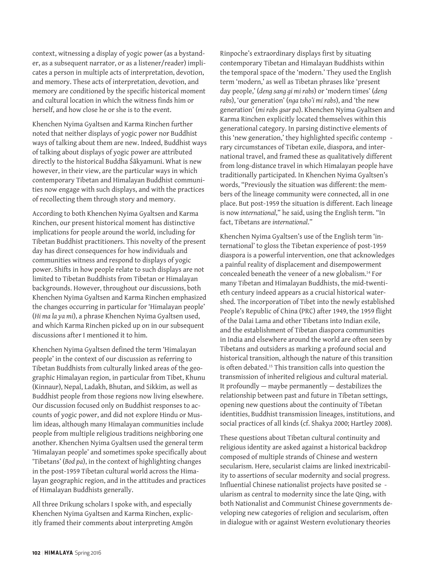context, witnessing a display of yogic power (as a bystander, as a subsequent narrator, or as a listener/reader) implicates a person in multiple acts of interpretation, devotion, and memory. These acts of interpretation, devotion, and memory are conditioned by the specific historical moment and cultural location in which the witness finds him or herself, and how close he or she is to the event.

Khenchen Nyima Gyaltsen and Karma Rinchen further noted that neither displays of yogic power nor Buddhist ways of talking about them are new. Indeed, Buddhist ways of talking about displays of yogic power are attributed directly to the historical Buddha Śākyamuni. What is new however, in their view, are the particular ways in which contemporary Tibetan and Himalayan Buddhist communities now engage with such displays, and with the practices of recollecting them through story and memory.

According to both Khenchen Nyima Gyaltsen and Karma Rinchen, our present historical moment has distinctive implications for people around the world, including for Tibetan Buddhist practitioners. This novelty of the present day has direct consequences for how individuals and communities witness and respond to displays of yogic power. Shifts in how people relate to such displays are not limited to Tibetan Buddhists from Tibetan or Himalayan backgrounds. However, throughout our discussions, both Khenchen Nyima Gyaltsen and Karma Rinchen emphasized the changes occurring in particular for 'Himalayan people' (*Hi ma la ya mi*), a phrase Khenchen Nyima Gyaltsen used, and which Karma Rinchen picked up on in our subsequent discussions after I mentioned it to him.

Khenchen Nyima Gyaltsen defined the term 'Himalayan people' in the context of our discussion as referring to Tibetan Buddhists from culturally linked areas of the geographic Himalayan region, in particular from Tibet, Khunu (Kinnaur), Nepal, Ladakh, Bhutan, and Sikkim, as well as Buddhist people from those regions now living elsewhere. Our discussion focused only on Buddhist responses to accounts of yogic power, and did not explore Hindu or Muslim ideas, although many Himalayan communities include people from multiple religious traditions neighboring one another. Khenchen Nyima Gyaltsen used the general term 'Himalayan people' and sometimes spoke specifically about 'Tibetans' (*Bod pa*), in the context of highlighting changes in the post-1959 Tibetan cultural world across the Himalayan geographic region, and in the attitudes and practices of Himalayan Buddhists generally.

All three Drikung scholars I spoke with, and especially Khenchen Nyima Gyaltsen and Karma Rinchen, explicitly framed their comments about interpreting Amgön Rinpoche's extraordinary displays first by situating contemporary Tibetan and Himalayan Buddhists within the temporal space of the 'modern.' They used the English term 'modern,' as well as Tibetan phrases like 'present day people,' (*deng sang gi mi rabs*) or 'modern times' (*deng rabs*), 'our generation' (*nga tsho'i mi rabs*), and 'the new generation' (*mi rabs gsar pa*). Khenchen Nyima Gyaltsen and Karma Rinchen explicitly located themselves within this generational category. In parsing distinctive elements of this 'new generation,' they highlighted specific contemp rary circumstances of Tibetan exile, diaspora, and international travel, and framed these as qualitatively different from long-distance travel in which Himalayan people have traditionally participated. In Khenchen Nyima Gyaltsen's words, "Previously the situation was different: the members of the lineage community were connected, all in one place. But post-1959 the situation is different. Each lineage is now *international*," he said, using the English term. "In fact, Tibetans are *international*."

Khenchen Nyima Gyaltsen's use of the English term 'international' to gloss the Tibetan experience of post-1959 diaspora is a powerful intervention, one that acknowledges a painful reality of displacement and disempowerment concealed beneath the veneer of a new globalism.14 For many Tibetan and Himalayan Buddhists, the mid-twentieth century indeed appears as a crucial historical watershed. The incorporation of Tibet into the newly established People's Republic of China (PRC) after 1949, the 1959 flight of the Dalai Lama and other Tibetans into Indian exile, and the establishment of Tibetan diaspora communities in India and elsewhere around the world are often seen by Tibetans and outsiders as marking a profound social and historical transition, although the nature of this transition is often debated.15 This transition calls into question the transmission of inherited religious and cultural material. It profoundly — maybe permanently — destabilizes the relationship between past and future in Tibetan settings, opening new questions about the continuity of Tibetan identities, Buddhist transmission lineages, institutions, and social practices of all kinds (cf. Shakya 2000; Hartley 2008).

These questions about Tibetan cultural continuity and religious identity are asked against a historical backdrop composed of multiple strands of Chinese and western secularism. Here, secularist claims are linked inextricability to assertions of secular modernity and social progress. Influential Chinese nationalist projects have posited se ularism as central to modernity since the late Qing, with both Nationalist and Communist Chinese governments developing new categories of religion and secularism, often in dialogue with or against Western evolutionary theories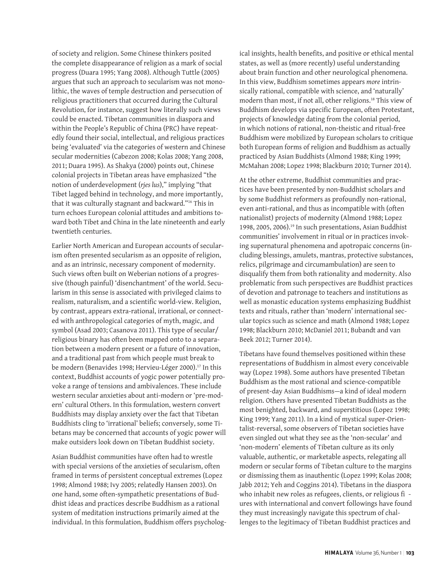of society and religion. Some Chinese thinkers posited the complete disappearance of religion as a mark of social progress (Duara 1995; Yang 2008). Although Tuttle (2005) argues that such an approach to secularism was not monolithic, the waves of temple destruction and persecution of religious practitioners that occurred during the Cultural Revolution, for instance, suggest how literally such views could be enacted. Tibetan communities in diaspora and within the People's Republic of China (PRC) have repeatedly found their social, intellectual, and religious practices being 'evaluated' via the categories of western and Chinese secular modernities (Cabezon 2008; Kolas 2008; Yang 2008, 2011; Duara 1995). As Shakya (2000) points out, Chinese colonial projects in Tibetan areas have emphasized "the notion of underdevelopment (*rjes lus*)," implying "that Tibet lagged behind in technology, and more importantly, that it was culturally stagnant and backward."16 This in turn echoes European colonial attitudes and ambitions toward both Tibet and China in the late nineteenth and early twentieth centuries.

Earlier North American and European accounts of secularism often presented secularism as an opposite of religion, and as an intrinsic, necessary component of modernity. Such views often built on Weberian notions of a progressive (though painful) 'disenchantment' of the world. Secularism in this sense is associated with privileged claims to realism, naturalism, and a scientific world-view. Religion, by contrast, appears extra-rational, irrational, or connected with anthropological categories of myth, magic, and symbol (Asad 2003; Casanova 2011). This type of secular/ religious binary has often been mapped onto to a separation between a modern present or a future of innovation, and a traditional past from which people must break to be modern (Benavides 1998; Hervieu-Léger 2000).<sup>17</sup> In this context, Buddhist accounts of yogic power potentially provoke a range of tensions and ambivalences. These include western secular anxieties about anti-modern or 'pre-modern' cultural Others. In this formulation, western convert Buddhists may display anxiety over the fact that Tibetan Buddhists cling to 'irrational' beliefs; conversely, some Tibetans may be concerned that accounts of yogic power will make outsiders look down on Tibetan Buddhist society.

Asian Buddhist communities have often had to wrestle with special versions of the anxieties of secularism, often framed in terms of persistent conceptual extremes (Lopez 1998; Almond 1988; Ivy 2005; relatedly Hansen 2003). On one hand, some often-sympathetic presentations of Buddhist ideas and practices describe Buddhism as a rational system of meditation instructions primarily aimed at the individual. In this formulation, Buddhism offers psycholog-

ical insights, health benefits, and positive or ethical mental states, as well as (more recently) useful understanding about brain function and other neurological phenomena. In this view, Buddhism sometimes appears *more* intrinsically rational, compatible with science, and 'naturally' modern than most, if not all, other religions.18 This view of Buddhism develops via specific European, often Protestant, projects of knowledge dating from the colonial period, in which notions of rational, non-theistic and ritual-free Buddhism were mobilized by European scholars to critique both European forms of religion and Buddhism as actually practiced by Asian Buddhists (Almond 1988; King 1999; McMahan 2008; Lopez 1998; Blackburn 2010; Turner 2014).

At the other extreme, Buddhist communities and practices have been presented by non-Buddhist scholars and by some Buddhist reformers as profoundly non-rational, even anti-rational, and thus as incompatible with (often nationalist) projects of modernity (Almond 1988; Lopez 1998, 2005, 2006).19 In such presentations, Asian Buddhist communities' involvement in ritual or in practices invoking supernatural phenomena and apotropaic concerns (including blessings, amulets, mantras, protective substances, relics, pilgrimage and circumambulation) are seen to disqualify them from both rationality and modernity. Also problematic from such perspectives are Buddhist practices of devotion and patronage to teachers and institutions as well as monastic education systems emphasizing Buddhist texts and rituals, rather than 'modern' international secular topics such as science and math (Almond 1988; Lopez 1998; Blackburn 2010; McDaniel 2011; Bubandt and van Beek 2012; Turner 2014).

Tibetans have found themselves positioned within these representations of Buddhism in almost every conceivable way (Lopez 1998). Some authors have presented Tibetan Buddhism as the most rational and science-compatible of present-day Asian Buddhisms—a kind of ideal modern religion. Others have presented Tibetan Buddhists as the most benighted, backward, and superstitious (Lopez 1998; King 1999; Yang 2011). In a kind of mystical super-Orientalist-reversal, some observers of Tibetan societies have even singled out what they see as the 'non-secular' and 'non-modern' elements of Tibetan culture as its only valuable, authentic, or marketable aspects, relegating all modern or secular forms of Tibetan culture to the margins or dismissing them as inauthentic (Lopez 1999; Kolas 2008; Jabb 2012; Yeh and Coggins 2014). Tibetans in the diaspora who inhabit new roles as refugees, clients, or religious fi ures with international and convert followings have found they must increasingly navigate this spectrum of challenges to the legitimacy of Tibetan Buddhist practices and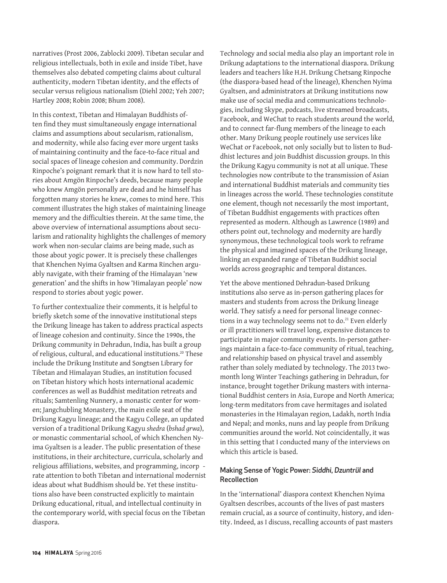narratives (Prost 2006, Zablocki 2009). Tibetan secular and religious intellectuals, both in exile and inside Tibet, have themselves also debated competing claims about cultural authenticity, modern Tibetan identity, and the effects of secular versus religious nationalism (Diehl 2002; Yeh 2007; Hartley 2008; Robin 2008; Bhum 2008).

In this context, Tibetan and Himalayan Buddhists often find they must simultaneously engage international claims and assumptions about secularism, rationalism, and modernity, while also facing ever more urgent tasks of maintaining continuity and the face-to-face ritual and social spaces of lineage cohesion and community. Dordzin Rinpoche's poignant remark that it is now hard to tell stories about Amgön Rinpoche's deeds, because many people who knew Amgön personally are dead and he himself has forgotten many stories he knew, comes to mind here. This comment illustrates the high stakes of maintaining lineage memory and the difficulties therein. At the same time, the above overview of international assumptions about secularism and rationality highlights the challenges of memory work when non-secular claims are being made, such as those about yogic power. It is precisely these challenges that Khenchen Nyima Gyaltsen and Karma Rinchen arguably navigate, with their framing of the Himalayan 'new generation' and the shifts in how 'Himalayan people' now respond to stories about yogic power.

To further contextualize their comments, it is helpful to briefly sketch some of the innovative institutional steps the Drikung lineage has taken to address practical aspects of lineage cohesion and continuity. Since the 1990s, the Drikung community in Dehradun, India, has built a group of religious, cultural, and educational institutions.<sup>20</sup> These include the Drikung Institute and Songtsen Library for Tibetan and Himalayan Studies, an institution focused on Tibetan history which hosts international academic conferences as well as Buddhist meditation retreats and rituals; Samtenling Nunnery, a monastic center for women; Jangchubling Monastery, the main exile seat of the Drikung Kagyu lineage; and the Kagyu College, an updated version of a traditional Drikung Kagyu *shedra* (*bshad grwa*), or monastic commentarial school, of which Khenchen Nyima Gyaltsen is a leader. The public presentation of these institutions, in their architecture, curricula, scholarly and religious affiliations, websites, and programming, incorp rate attention to both Tibetan and international modernist ideas about what Buddhism should be. Yet these institutions also have been constructed explicitly to maintain Drikung educational, ritual, and intellectual continuity in the contemporary world, with special focus on the Tibetan diaspora.

Technology and social media also play an important role in Drikung adaptations to the international diaspora. Drikung leaders and teachers like H.H. Drikung Chetsang Rinpoche (the diaspora-based head of the lineage), Khenchen Nyima Gyaltsen, and administrators at Drikung institutions now make use of social media and communications technologies, including Skype, podcasts, live streamed broadcasts, Facebook, and WeChat to reach students around the world, and to connect far-flung members of the lineage to each other. Many Drikung people routinely use services like WeChat or Facebook, not only socially but to listen to Buddhist lectures and join Buddhist discussion groups. In this the Drikung Kagyu community is not at all unique. These technologies now contribute to the transmission of Asian and international Buddhist materials and community ties in lineages across the world. These technologies constitute one element, though not necessarily the most important, of Tibetan Buddhist engagements with practices often represented as modern. Although as Lawrence (1989) and others point out, technology and modernity are hardly synonymous, these technological tools work to reframe the physical and imagined spaces of the Drikung lineage, linking an expanded range of Tibetan Buddhist social worlds across geographic and temporal distances.

Yet the above mentioned Dehradun-based Drikung institutions also serve as in-person gathering places for masters and students from across the Drikung lineage world. They satisfy a need for personal lineage connections in a way technology seems not to do.<sup>21</sup> Even elderly or ill practitioners will travel long, expensive distances to participate in major community events. In-person gatherings maintain a face-to-face community of ritual, teaching, and relationship based on physical travel and assembly rather than solely mediated by technology. The 2013 twomonth long Winter Teachings gathering in Dehradun, for instance, brought together Drikung masters with international Buddhist centers in Asia, Europe and North America; long-term meditators from cave hermitages and isolated monasteries in the Himalayan region, Ladakh, north India and Nepal; and monks, nuns and lay people from Drikung communities around the world. Not coincidentally, it was in this setting that I conducted many of the interviews on which this article is based.

#### Making Sense of Yogic Power: *Siddhi*, *Dzuntrül* and Recollection

In the 'international' diaspora context Khenchen Nyima Gyaltsen describes, accounts of the lives of past masters remain crucial, as a source of continuity, history, and identity. Indeed, as I discuss, recalling accounts of past masters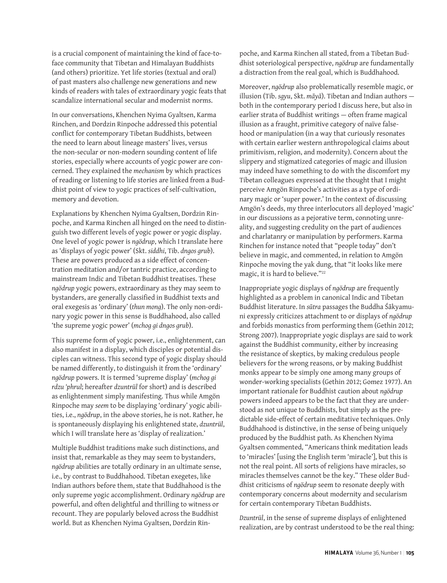is a crucial component of maintaining the kind of face-toface community that Tibetan and Himalayan Buddhists (and others) prioritize. Yet life stories (textual and oral) of past masters also challenge new generations and new kinds of readers with tales of extraordinary yogic feats that scandalize international secular and modernist norms.

In our conversations, Khenchen Nyima Gyaltsen, Karma Rinchen, and Dordzin Rinpoche addressed this potential conflict for contemporary Tibetan Buddhists, between the need to learn about lineage masters' lives, versus the non-secular or non-modern sounding content of life stories, especially where accounts of yogic power are concerned. They explained the *mechanism* by which practices of reading or listening to life stories are linked from a Buddhist point of view to yogic practices of self-cultivation, memory and devotion.

Explanations by Khenchen Nyima Gyaltsen, Dordzin Rinpoche, and Karma Rinchen all hinged on the need to distinguish two different levels of yogic power or yogic display. One level of yogic power is *ngödrup*, which I translate here as 'displays of yogic power' (Skt. *siddhi*, Tib. *dngos grub*). These are powers produced as a side effect of concentration meditation and/or tantric practice, according to mainstream Indic and Tibetan Buddhist treatises. These *ngödrup* yogic powers, extraordinary as they may seem to bystanders, are generally classified in Buddhist texts and oral exegesis as 'ordinary' (*thun mong*). The only non-ordinary yogic power in this sense is Buddhahood, also called 'the supreme yogic power' (*mchog gi dngos grub*).

This supreme form of yogic power, i.e., enlightenment, can also manifest in a display, which disciples or potential disciples can witness. This second type of yogic display should be named differently, to distinguish it from the 'ordinary' *ngödrup* powers. It is termed 'supreme display' (*mchog gi rdzu 'phrul*; hereafter *dzuntrül* for short) and is described as enlightenment simply manifesting. Thus while Amgön Rinpoche may *seem* to be displaying 'ordinary' yogic abilities, i.e., *ngödrup*, in the above stories, he is not. Rather, he is spontaneously displaying his enlightened state, *dzuntrül*, which I will translate here as 'display of realization.'

Multiple Buddhist traditions make such distinctions, and insist that, remarkable as they may seem to bystanders, *ngödrup* abilities are totally ordinary in an ultimate sense, i.e., by contrast to Buddhahood. Tibetan exegetes, like Indian authors before them, state that Buddhahood is the only supreme yogic accomplishment. Ordinary *ngödrup* are powerful, and often delightful and thrilling to witness or recount. They are popularly beloved across the Buddhist world. But as Khenchen Nyima Gyaltsen, Dordzin Rinpoche, and Karma Rinchen all stated, from a Tibetan Buddhist soteriological perspective, *ngödrup* are fundamentally a distraction from the real goal, which is Buddhahood.

Moreover, *ngödrup* also problematically resemble magic, or illusion (Tib. *sgyu*, Skt. *māyā*). Tibetan and Indian authors both in the contemporary period I discuss here, but also in earlier strata of Buddhist writings — often frame magical illusion as a fraught, primitive category of naïve falsehood or manipulation (in a way that curiously resonates with certain earlier western anthropological claims about primitivism, religion, and modernity). Concern about the slippery and stigmatized categories of magic and illusion may indeed have something to do with the discomfort my Tibetan colleagues expressed at the thought that I might perceive Amgön Rinpoche's activities as a type of ordinary magic or 'super power.' In the context of discussing Amgön's deeds, my three interlocutors all deployed 'magic' in our discussions as a pejorative term, connoting unreality, and suggesting credulity on the part of audiences and charlatanry or manipulation by performers. Karma Rinchen for instance noted that "people today" don't believe in magic, and commented, in relation to Amgön Rinpoche moving the yak dung, that "it looks like mere magic, it is hard to believe."<sup>22</sup>

Inappropriate yogic displays of *ngödrup* are frequently highlighted as a problem in canonical Indic and Tibetan Buddhist literature. In *sūtra* passages the Buddha Śākyamuni expressly criticizes attachment to or displays of *ngödrup* and forbids monastics from performing them (Gethin 2012; Strong 2007). Inappropriate yogic displays are said to work against the Buddhist community, either by increasing the resistance of skeptics, by making credulous people believers for the wrong reasons, or by making Buddhist monks appear to be simply one among many groups of wonder-working specialists (Gethin 2012; Gomez 1977). An important rationale for Buddhist caution about *ngödrup* powers indeed appears to be the fact that they are understood as not unique to Buddhists, but simply as the predictable side-effect of certain meditative techniques. Only Buddhahood is distinctive, in the sense of being uniquely produced by the Buddhist path. As Khenchen Nyima Gyaltsen commented, "Americans think meditation leads to 'miracles' [using the English term 'miracle'], but this is not the real point. All sorts of religions have miracles, so miracles themselves cannot be the key." These older Buddhist criticisms of *ngödrup* seem to resonate deeply with contemporary concerns about modernity and secularism for certain contemporary Tibetan Buddhists.

*Dzuntrül*, in the sense of supreme displays of enlightened realization, are by contrast understood to be the real thing: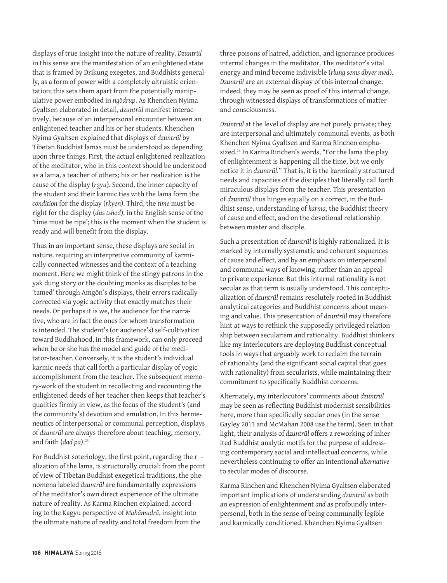displays of true insight into the nature of reality. *Dzuntrül* in this sense are the manifestation of an enlightened state that is framed by Drikung exegetes, and Buddhists generally, as a form of power with a completely altruistic orientation; this sets them apart from the potentially manipulative power embodied in *ngödrup*. As Khenchen Nyima Gyaltsen elaborated in detail, *dzuntrül* manifest interactively, because of an interpersonal encounter between an enlightened teacher and his or her students. Khenchen Nyima Gyaltsen explained that displays of *dzuntrül* by Tibetan Buddhist lamas must be understood as depending upon three things. First, the actual enlightened realization of the meditator, who in this context should be understood as a lama, a teacher of others; his or her realization is the cause of the display (*rgyu*). Second, the inner capacity of the student and their karmic ties with the lama form the *condition* for the display (*rkyen*). Third, the *time* must be right for the display (*dus tshod*), in the English sense of the 'time must be ripe'; this is the moment when the student is ready and will benefit from the display.

Thus in an important sense, these displays are social in nature, requiring an interpretive community of karmically connected witnesses and the context of a teaching moment. Here we might think of the stingy patrons in the yak dung story or the doubting monks as disciples to be 'tamed' through Amgön's displays, their errors radically corrected via yogic activity that exactly matches their needs. Or perhaps it is we, the audience for the narrative, who are in fact the ones for whom transformation is intended. The student's (or audience's) self-cultivation toward Buddhahood, in this framework, can only proceed when he or she has the model and guide of the meditator-teacher. Conversely, it is the student's individual karmic needs that call forth a particular display of yogic accomplishment from the teacher. The subsequent memory-work of the student in recollecting and recounting the enlightened deeds of her teacher then keeps that teacher's qualities firmly in view, as the focus of the student's (and the community's) devotion and emulation. In this hermeneutics of interpersonal or communal perception, displays of *dzuntrül* are always therefore about teaching, memory, and faith (dad pa).<sup>23</sup>

For Buddhist soteriology, the first point, regarding the r alization of the lama, is structurally crucial: from the point of view of Tibetan Buddhist exegetical traditions, the phenomena labeled *dzuntrül* are fundamentally expressions of the meditator's own direct experience of the ultimate nature of reality. As Karma Rinchen explained, according to the Kagyu perspective of *Mahāmudrā*, insight into the ultimate nature of reality and total freedom from the

three poisons of hatred, addiction, and ignorance produces internal changes in the meditator. The meditator's vital energy and mind become indivisible (*rlung sems dbyer med*). *Dzuntrül* are an external display of this internal change; indeed, they may be seen as proof of this internal change, through witnessed displays of transformations of matter and consciousness.

*Dzuntrül* at the level of display are not purely private; they are interpersonal and ultimately communal events, as both Khenchen Nyima Gyaltsen and Karma Rinchen emphasized.<sup>24</sup> In Karma Rinchen's words, "For the lama the play of enlightenment is happening all the time, but we only notice it in *dzuntrül*." That is, it is the karmically structured needs and capacities of the disciples that literally call forth miraculous displays from the teacher. This presentation of *dzuntrül* thus hinges equally on a correct, in the Buddhist sense, understanding of *karma*, the Buddhist theory of cause and effect, and on the devotional relationship between master and disciple.

Such a presentation of *dzuntrül* is highly rationalized. It is marked by internally systematic and coherent sequences of cause and effect, and by an emphasis on interpersonal and communal ways of knowing, rather than an appeal to private experience. But this internal rationality is not secular as that term is usually understood. This conceptualization of *dzuntrül* remains resolutely rooted in Buddhist analytical categories and Buddhist concerns about meaning and value. This presentation of *dzuntrül* may therefore hint at ways to rethink the supposedly privileged relationship between secularism and rationality. Buddhist thinkers like my interlocutors are deploying Buddhist conceptual tools in ways that arguably work to reclaim the terrain of rationality (and the significant social capital that goes with rationality) from secularists, while maintaining their commitment to specifically Buddhist concerns.

Alternately, my interlocutors' comments about *dzuntrül* may be seen as reflecting Buddhist modernist sensibilities here, more than specifically secular ones (in the sense Gayley 2013 and McMahan 2008 use the term). Seen in that light, their analysis of *dzuntrül* offers a reworking of inherited Buddhist analytic motifs for the purpose of addressing contemporary social and intellectual concerns, while nevertheless continuing to offer an intentional *alternative* to secular modes of discourse.

Karma Rinchen and Khenchen Nyima Gyaltsen elaborated important implications of understanding *dzuntrül* as both an expression of enlightenment *and* as profoundly interpersonal, both in the sense of being communally legible and karmically conditioned. Khenchen Nyima Gyaltsen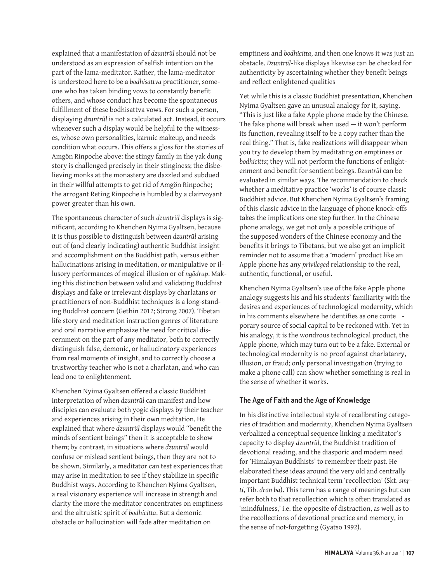explained that a manifestation of *dzuntrül* should not be understood as an expression of selfish intention on the part of the lama-meditator. Rather, the lama-meditator is understood here to be a *bodhisattva* practitioner, someone who has taken binding vows to constantly benefit others, and whose conduct has become the spontaneous fulfillment of these bodhisattva vows. For such a person, displaying *dzuntrül* is not a calculated act. Instead, it occurs whenever such a display would be helpful to the witnesses, whose own personalities, karmic makeup, and needs condition what occurs. This offers a gloss for the stories of Amgön Rinpoche above: the stingy family in the yak dung story is challenged precisely in their stinginess; the disbelieving monks at the monastery are dazzled and subdued in their willful attempts to get rid of Amgön Rinpoche; the arrogant Reting Rinpoche is humbled by a clairvoyant power greater than his own.

The spontaneous character of such *dzuntrül* displays is significant, according to Khenchen Nyima Gyaltsen, because it is thus possible to distinguish between *dzuntrül* arising out of (and clearly indicating) authentic Buddhist insight and accomplishment on the Buddhist path, versus either hallucinations arising in meditation, or manipulative or illusory performances of magical illusion or of *ngödrup*. Making this distinction between valid and validating Buddhist displays and fake or irrelevant displays by charlatans or practitioners of non-Buddhist techniques is a long-standing Buddhist concern (Gethin 2012; Strong 2007). Tibetan life story and meditation instruction genres of literature and oral narrative emphasize the need for critical discernment on the part of any meditator, both to correctly distinguish false, demonic, or hallucinatory experiences from real moments of insight, and to correctly choose a trustworthy teacher who is not a charlatan, and who can lead one to enlightenment.

Khenchen Nyima Gyaltsen offered a classic Buddhist interpretation of when *dzuntrül* can manifest and how disciples can evaluate both yogic displays by their teacher and experiences arising in their own meditation. He explained that where *dzuntrül* displays would "benefit the minds of sentient beings" then it is acceptable to show them; by contrast, in situations where *dzuntrül* would confuse or mislead sentient beings, then they are not to be shown. Similarly, a meditator can test experiences that may arise in meditation to see if they stabilize in specific Buddhist ways. According to Khenchen Nyima Gyaltsen, a real visionary experience will increase in strength and clarity the more the meditator concentrates on emptiness and the altruistic spirit of *bodhicitta*. But a demonic obstacle or hallucination will fade after meditation on

emptiness and *bodhicitta*, and then one knows it was just an obstacle. *Dzuntrül*-like displays likewise can be checked for authenticity by ascertaining whether they benefit beings and reflect enlightened qualities

Yet while this is a classic Buddhist presentation, Khenchen Nyima Gyaltsen gave an unusual analogy for it, saying, "This is just like a fake Apple phone made by the Chinese. The fake phone will break when used — it won't perform its function, revealing itself to be a copy rather than the real thing." That is, fake realizations will disappear when you try to develop them by meditating on emptiness or *bodhicitta*; they will not perform the functions of enlightenment and benefit for sentient beings. *Dzuntrül* can be evaluated in similar ways. The recommendation to check whether a meditative practice 'works' is of course classic Buddhist advice. But Khenchen Nyima Gyaltsen's framing of this classic advice in the language of phone knock-offs takes the implications one step further. In the Chinese phone analogy, we get not only a possible critique of the supposed wonders of the Chinese economy and the benefits it brings to Tibetans, but we also get an implicit reminder not to assume that a 'modern' product like an Apple phone has any *privileged* relationship to the real, authentic, functional, or useful.

Khenchen Nyima Gyaltsen's use of the fake Apple phone analogy suggests his and his students' familiarity with the desires and experiences of technological modernity, which in his comments elsewhere he identifies as one conte porary source of social capital to be reckoned with. Yet in his analogy, it is the wondrous technological product, the Apple phone, which may turn out to be a fake. External or technological modernity is no proof against charlatanry, illusion, or fraud; only personal investigation (trying to make a phone call) can show whether something is real in the sense of whether it works.

#### The Age of Faith and the Age of Knowledge

In his distinctive intellectual style of recalibrating categories of tradition and modernity, Khenchen Nyima Gyaltsen verbalized a conceptual sequence linking a meditator's capacity to display *dzuntrül*, the Buddhist tradition of devotional reading, and the diasporic and modern need for 'Himalayan Buddhists' to remember their past. He elaborated these ideas around the very old and centrally important Buddhist technical term 'recollection' (Skt. *smṛti*, Tib. *dran ba*). This term has a range of meanings but can refer both to that recollection which is often translated as 'mindfulness,' i.e. the opposite of distraction, as well as to the recollections of devotional practice and memory, in the sense of not-forgetting (Gyatso 1992).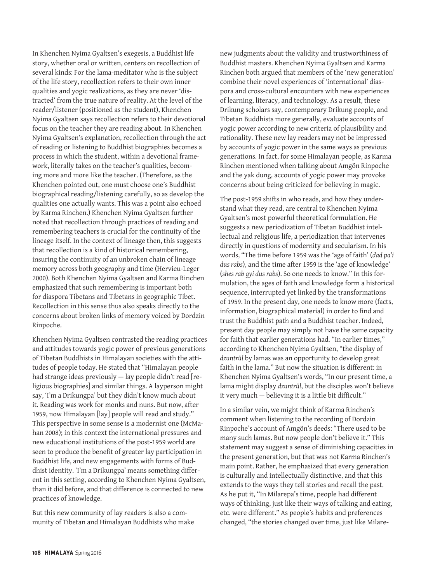In Khenchen Nyima Gyaltsen's exegesis, a Buddhist life story, whether oral or written, centers on recollection of several kinds: For the lama-meditator who is the subject of the life story, recollection refers to their own inner qualities and yogic realizations, as they are never 'distracted' from the true nature of reality. At the level of the reader/listener (positioned as the student), Khenchen Nyima Gyaltsen says recollection refers to their devotional focus on the teacher they are reading about. In Khenchen Nyima Gyaltsen's explanation, recollection through the act of reading or listening to Buddhist biographies becomes a process in which the student, within a devotional framework, literally takes on the teacher's qualities, becoming more and more like the teacher. (Therefore, as the Khenchen pointed out, one must choose one's Buddhist biographical reading/listening carefully, so as develop the qualities one actually wants. This was a point also echoed by Karma Rinchen.) Khenchen Nyima Gyaltsen further noted that recollection through practices of reading and remembering teachers is crucial for the continuity of the lineage itself. In the context of lineage then, this suggests that recollection is a kind of historical remembering, insuring the continuity of an unbroken chain of lineage memory across both geography and time (Hervieu-Leger 2000). Both Khenchen Nyima Gyaltsen and Karma Rinchen emphasized that such remembering is important both for diaspora Tibetans and Tibetans in geographic Tibet. Recollection in this sense thus also speaks directly to the concerns about broken links of memory voiced by Dordzin Rinpoche.

Khenchen Nyima Gyaltsen contrasted the reading practices and attitudes towards yogic power of previous generations of Tibetan Buddhists in Himalayan societies with the attitudes of people today. He stated that "Himalayan people had strange ideas previously — lay people didn't read [religious biographies] and similar things. A layperson might say, 'I'm a Drikungpa' but they didn't know much about it. Reading was work for monks and nuns. But now, after 1959, now Himalayan [lay] people will read and study." This perspective in some sense is a modernist one (McMahan 2008); in this context the international pressures and new educational institutions of the post-1959 world are seen to produce the benefit of greater lay participation in Buddhist life, and new engagements with forms of Buddhist identity. 'I'm a Drikungpa' means something different in this setting, according to Khenchen Nyima Gyaltsen, than it did before, and that difference is connected to new practices of knowledge.

But this new community of lay readers is also a community of Tibetan and Himalayan Buddhists who make new judgments about the validity and trustworthiness of Buddhist masters. Khenchen Nyima Gyaltsen and Karma Rinchen both argued that members of the 'new generation' combine their novel experiences of 'international' diaspora and cross-cultural encounters with new experiences of learning, literacy, and technology. As a result, these Drikung scholars say, contemporary Drikung people, and Tibetan Buddhists more generally, evaluate accounts of yogic power according to new criteria of plausibility and rationality. These new lay readers may not be impressed by accounts of yogic power in the same ways as previous generations. In fact, for some Himalayan people, as Karma Rinchen mentioned when talking about Amgön Rinpoche and the yak dung, accounts of yogic power may provoke concerns about being criticized for believing in magic.

The post-1959 shifts in who reads, and how they understand what they read, are central to Khenchen Nyima Gyaltsen's most powerful theoretical formulation. He suggests a new periodization of Tibetan Buddhist intellectual and religious life, a periodization that intervenes directly in questions of modernity and secularism. In his words, "The time before 1959 was the 'age of faith' (*dad pa'i dus rabs*), and the time after 1959 is the 'age of knowledge' (*shes rab gyi dus rabs*). So one needs to know." In this formulation, the ages of faith and knowledge form a historical sequence, interrupted yet linked by the transformations of 1959. In the present day, one needs to know more (facts, information, biographical material) in order to find and trust the Buddhist path and a Buddhist teacher. Indeed, present day people may simply not have the same capacity for faith that earlier generations had. "In earlier times," according to Khenchen Nyima Gyaltsen, "the display of *dzuntrül* by lamas was an opportunity to develop great faith in the lama." But now the situation is different: in Khenchen Nyima Gyaltsen's words, "In our present time, a lama might display *dzuntrül*, but the disciples won't believe it very much — believing it is a little bit difficult."

In a similar vein, we might think of Karma Rinchen's comment when listening to the recording of Dordzin Rinpoche's account of Amgön's deeds: "There used to be many such lamas. But now people don't believe it." This statement may suggest a sense of diminishing capacities in the present generation, but that was not Karma Rinchen's main point. Rather, he emphasized that every generation is culturally and intellectually distinctive, and that this extends to the ways they tell stories and recall the past. As he put it, "In Milarepa's time, people had different ways of thinking, just like their ways of talking and eating, etc. were different." As people's habits and preferences changed, "the stories changed over time, just like Milare-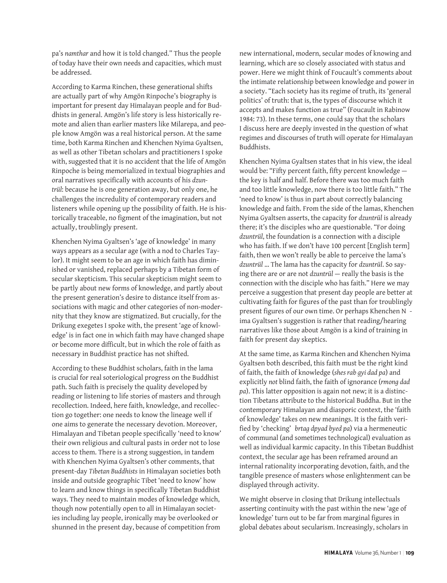pa's *namthar* and how it is told changed." Thus the people of today have their own needs and capacities, which must be addressed.

According to Karma Rinchen, these generational shifts are actually part of why Amgön Rinpoche's biography is important for present day Himalayan people and for Buddhists in general. Amgön's life story is less historically remote and alien than earlier masters like Milarepa, and people know Amgön was a real historical person. At the same time, both Karma Rinchen and Khenchen Nyima Gyaltsen, as well as other Tibetan scholars and practitioners I spoke with, suggested that it is no accident that the life of Amgön Rinpoche is being memorialized in textual biographies and oral narratives specifically with accounts of his *dzuntrül*: because he is one generation away, but only one, he challenges the incredulity of contemporary readers and listeners while opening up the possibility of faith. He is historically traceable, no figment of the imagination, but not actually, troublingly present.

Khenchen Nyima Gyaltsen's 'age of knowledge' in many ways appears as a secular age (with a nod to Charles Taylor). It might seem to be an age in which faith has diminished or vanished, replaced perhaps by a Tibetan form of secular skepticism. This secular skepticism might seem to be partly about new forms of knowledge, and partly about the present generation's desire to distance itself from associations with magic and other categories of non-modernity that they know are stigmatized. But crucially, for the Drikung exegetes I spoke with, the present 'age of knowledge' is in fact one in which faith may have changed shape or become more difficult, but in which the role of faith as necessary in Buddhist practice has not shifted.

According to these Buddhist scholars, faith in the lama is crucial for real soteriological progress on the Buddhist path. Such faith is precisely the quality developed by reading or listening to life stories of masters and through recollection. Indeed, here faith, knowledge, and recollection go together: one needs to know the lineage well if one aims to generate the necessary devotion. Moreover, Himalayan and Tibetan people specifically 'need to know' their own religious and cultural pasts in order not to lose access to them. There is a strong suggestion, in tandem with Khenchen Nyima Gyaltsen's other comments, that present-day *Tibetan Buddhists* in Himalayan societies both inside and outside geographic Tibet 'need to know' how to learn and know things in specifically Tibetan Buddhist ways. They need to maintain modes of knowledge which, though now potentially open to all in Himalayan societies including lay people, ironically may be overlooked or shunned in the present day, because of competition from

new international, modern, secular modes of knowing and learning, which are so closely associated with status and power. Here we might think of Foucault's comments about the intimate relationship between knowledge and power in a society. "Each society has its regime of truth, its 'general politics' of truth: that is, the types of discourse which it accepts and makes function as true" (Foucault in Rabinow 1984: 73). In these terms, one could say that the scholars I discuss here are deeply invested in the question of what regimes and discourses of truth will operate for Himalayan Buddhists.

Khenchen Nyima Gyaltsen states that in his view, the ideal would be: "Fifty percent faith, fifty percent knowledge the key is half and half. Before there was too much faith and too little knowledge, now there is too little faith." The 'need to know' is thus in part about correctly balancing knowledge and faith. From the side of the lamas, Khenchen Nyima Gyaltsen asserts, the capacity for *dzuntrül* is already there; it's the disciples who are questionable. "For doing *dzuntrül*, the foundation is a connection with a disciple who has faith. If we don't have 100 percent [English term] faith, then we won't really be able to perceive the lama's *dzuntrül* … The lama has the capacity for *dzuntrül*. So saying there are or are not *dzuntrül* — really the basis is the connection with the disciple who has faith." Here we may perceive a suggestion that present day people are better at cultivating faith for figures of the past than for troublingly present figures of our own time. Or perhaps Khenchen N ima Gyaltsen's suggestion is rather that reading/hearing narratives like those about Amgön is a kind of training in faith for present day skeptics.

At the same time, as Karma Rinchen and Khenchen Nyima Gyaltsen both described, this faith must be the right kind of faith, the faith of knowledge (*shes rab gyi dad pa*) and explicitly *not* blind faith, the faith of ignorance (*rmong dad pa*). This latter opposition is again not new; it is a distinction Tibetans attribute to the historical Buddha. But in the contemporary Himalayan and diasporic context, the 'faith of knowledge' takes on new meanings. It is the faith verified by 'checking' *brtag dpyad byed pa*) via a hermeneutic of communal (and sometimes technological) evaluation as well as individual karmic capacity. In this Tibetan Buddhist context, the secular age has been reframed around an internal rationality incorporating devotion, faith, and the tangible presence of masters whose enlightenment can be displayed through activity.

We might observe in closing that Drikung intellectuals asserting continuity with the past within the new 'age of knowledge' turn out to be far from marginal figures in global debates about secularism. Increasingly, scholars in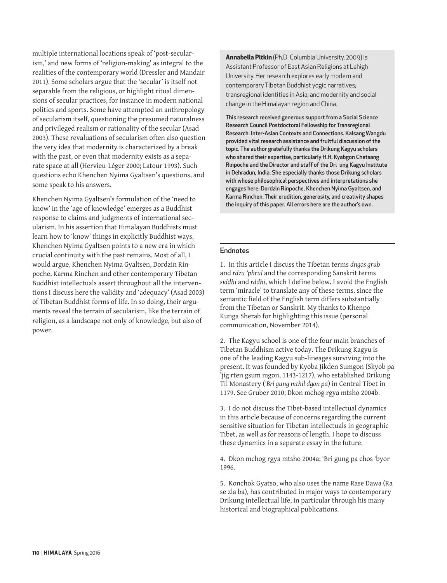multiple international locations speak of 'post-secularism,' and new forms of 'religion-making' as integral to the realities of the contemporary world (Dressler and Mandair 2011). Some scholars argue that the 'secular' is itself not separable from the religious, or highlight ritual dimensions of secular practices, for instance in modern national politics and sports. Some have attempted an anthropology of secularism itself, questioning the presumed naturalness and privileged realism or rationality of the secular (Asad 2003). These revaluations of secularism often also question the very idea that modernity is characterized by a break with the past, or even that modernity exists as a separate space at all (Hervieu-Léger 2000; Latour 1993). Such questions echo Khenchen Nyima Gyaltsen's questions, and some speak to his answers.

Khenchen Nyima Gyaltsen's formulation of the 'need to know' in the 'age of knowledge' emerges as a Buddhist response to claims and judgments of international secularism. In his assertion that Himalayan Buddhists must learn how to 'know' things in explicitly Buddhist ways, Khenchen Nyima Gyaltsen points to a new era in which crucial continuity with the past remains. Most of all, I would argue, Khenchen Nyima Gyaltsen, Dordzin Rinpoche, Karma Rinchen and other contemporary Tibetan Buddhist intellectuals assert throughout all the interventions I discuss here the validity and 'adequacy' (Asad 2003) of Tibetan Buddhist forms of life. In so doing, their arguments reveal the terrain of secularism, like the terrain of religion, as a landscape not only of knowledge, but also of power.

**Annabella Pitkin** (Ph.D. Columbia University, 2009) is Assistant Professor of East Asian Religions at Lehigh University. Her research explores early modern and contemporary Tibetan Buddhist yogic narratives; transregional identities in Asia; and modernity and social change in the Himalayan region and China.

This research received generous support from a Social Science Research Council Postdoctoral Fellowship for Transregional Research: Inter-Asian Contexts and Connections. Kalsang Wangdu provided vital research assistance and fruitful discussion of the topic. The author gratefully thanks the Drikung Kagyu scholars who shared their expertise, particularly H.H. Kyabgon Chetsang Rinpoche and the Director and staff of the Dri ung Kagyu Institute in Dehradun, India. She especially thanks those Drikung scholars with whose philosophical perspectives and interpretations she engages here: Dordzin Rinpoche, Khenchen Nyima Gyaltsen, and Karma Rinchen. Their erudition, generosity, and creativity shapes the inquiry of this paper. All errors here are the author's own.

#### **Endnotes**

1. In this article I discuss the Tibetan terms *dngos grub* and *rdzu 'phrul* and the corresponding Sanskrit terms *siddhi* and *ṛddhi*, which I define below. I avoid the English term 'miracle' to translate any of these terms, since the semantic field of the English term differs substantially from the Tibetan or Sanskrit. My thanks to Khenpo Kunga Sherab for highlighting this issue (personal communication, November 2014).

2. The Kagyu school is one of the four main branches of Tibetan Buddhism active today. The Drikung Kagyu is one of the leading Kagyu sub-lineages surviving into the present. It was founded by Kyoba Jikden Sumgon (Skyob pa 'jig rten gsum mgon, 1143-1217), who established Drikung Til Monastery (*'Bri gung mthil dgon pa*) in Central Tibet in 1179. See Gruber 2010; Dkon mchog rgya mtsho 2004b.

3. I do not discuss the Tibet-based intellectual dynamics in this article because of concerns regarding the current sensitive situation for Tibetan intellectuals in geographic Tibet, as well as for reasons of length. I hope to discuss these dynamics in a separate essay in the future.

4. Dkon mchog rgya mtsho 2004a; 'Bri gung pa chos 'byor 1996.

5. Konchok Gyatso, who also uses the name Rase Dawa (Ra se zla ba), has contributed in major ways to contemporary Drikung intellectual life, in particular through his many historical and biographical publications.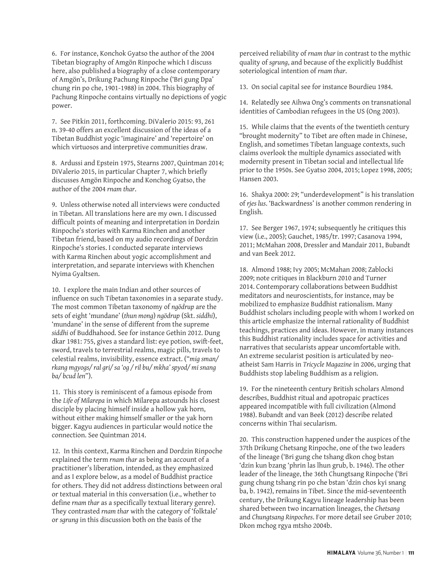6. For instance, Konchok Gyatso the author of the 2004 Tibetan biography of Amgön Rinpoche which I discuss here, also published a biography of a close contemporary of Amgön's, Drikung Pachung Rinpoche ('Bri gung Dpa' chung rin po che, 1901-1988) in 2004. This biography of Pachung Rinpoche contains virtually no depictions of yogic power.

7. See Pitkin 2011, forthcoming. DiValerio 2015: 93, 261 n. 39-40 offers an excellent discussion of the ideas of a Tibetan Buddhist yogic 'imaginaire' and 'repertoire' on which virtuosos and interpretive communities draw.

8. Ardussi and Epstein 1975, Stearns 2007, Quintman 2014; DiValerio 2015, in particular Chapter 7, which briefly discusses Amgön Rinpoche and Konchog Gyatso, the author of the 2004 *rnam thar*.

9. Unless otherwise noted all interviews were conducted in Tibetan. All translations here are my own. I discussed difficult points of meaning and interpretation in Dordzin Rinpoche's stories with Karma Rinchen and another Tibetan friend, based on my audio recordings of Dordzin Rinpoche's stories. I conducted separate interviews with Karma Rinchen about yogic accomplishment and interpretation, and separate interviews with Khenchen Nyima Gyaltsen.

10. I explore the main Indian and other sources of influence on such Tibetan taxonomies in a separate study. The most common Tibetan taxonomy of *ngödrup* are the sets of eight 'mundane' (*thun mong*) *ngödrup* (Skt. *siddhi*), 'mundane' in the sense of different from the supreme *siddhi* of Buddhahood. See for instance Gethin 2012. Dung dkar 1981: 755, gives a standard list: eye potion, swift-feet, sword, travels to terrestrial realms, magic pills, travels to celestial realms, invisibility, essence extract. ("*mig sman/ rkang mgyogs/ ral gri/ sa 'og / ril bu/ mkha' spyod/ mi snang ba/ bcud len*").

11. This story is reminiscent of a famous episode from the *Life of Milarepa* in which Milarepa astounds his closest disciple by placing himself inside a hollow yak horn, without either making himself smaller or the yak horn bigger. Kagyu audiences in particular would notice the connection. See Quintman 2014.

12. In this context, Karma Rinchen and Dordzin Rinpoche explained the term *rnam thar* as being an account of a practitioner's liberation, intended, as they emphasized and as I explore below, as a model of Buddhist practice for others. They did not address distinctions between oral or textual material in this conversation (i.e., whether to define *rnam thar* as a specifically textual literary genre). They contrasted *rnam thar* with the category of 'folktale' or *sgrung* in this discussion both on the basis of the

perceived reliability of *rnam thar* in contrast to the mythic quality of *sgrung*, and because of the explicitly Buddhist soteriological intention of *rnam thar*.

13. On social capital see for instance Bourdieu 1984.

14. Relatedly see Aihwa Ong's comments on transnational identities of Cambodian refugees in the US (Ong 2003).

15. While claims that the events of the twentieth century "brought modernity" to Tibet are often made in Chinese, English, and sometimes Tibetan language contexts, such claims overlook the multiple dynamics associated with modernity present in Tibetan social and intellectual life prior to the 1950s. See Gyatso 2004, 2015; Lopez 1998, 2005; Hansen 2003.

16. Shakya 2000: 29; "underdevelopment" is his translation of *rjes lus*. 'Backwardness' is another common rendering in English.

17. See Berger 1967, 1974; subsequently he critiques this view (i.e., 2005); Gauchet, 1985/tr. 1997; Casanova 1994, 2011; McMahan 2008, Dressler and Mandair 2011, Bubandt and van Beek 2012.

18. Almond 1988; Ivy 2005; McMahan 2008; Zablocki 2009; note critiques in Blackburn 2010 and Turner 2014. Contemporary collaborations between Buddhist meditators and neuroscientists, for instance, may be mobilized to emphasize Buddhist rationalism. Many Buddhist scholars including people with whom I worked on this article emphasize the internal rationality of Buddhist teachings, practices and ideas. However, in many instances this Buddhist rationality includes space for activities and narratives that secularists appear uncomfortable with. An extreme secularist position is articulated by neoatheist Sam Harris in *Tricycle Magazine* in 2006, urging that Buddhists stop labeling Buddhism as a religion.

19. For the nineteenth century British scholars Almond describes, Buddhist ritual and apotropaic practices appeared incompatible with full civilization (Almond 1988). Bubandt and van Beek (2012) describe related concerns within Thai secularism.

20. This construction happened under the auspices of the 37th Drikung Chetsang Rinpoche, one of the two leaders of the lineage ('Bri gung che tshang dkon chog bstan 'dzin kun bzang 'phrin las lhun grub, b. 1946). The other leader of the lineage, the 36th Chungtsang Rinpoche ('Bri gung chung tshang rin po che bstan 'dzin chos kyi snang ba, b. 1942), remains in Tibet. Since the mid-seventeenth century, the Drikung Kagyu lineage leadership has been shared between two incarnation lineages, the *Chetsang* and *Chungtsang Rinpoches*. For more detail see Gruber 2010; Dkon mchog rgya mtsho 2004b.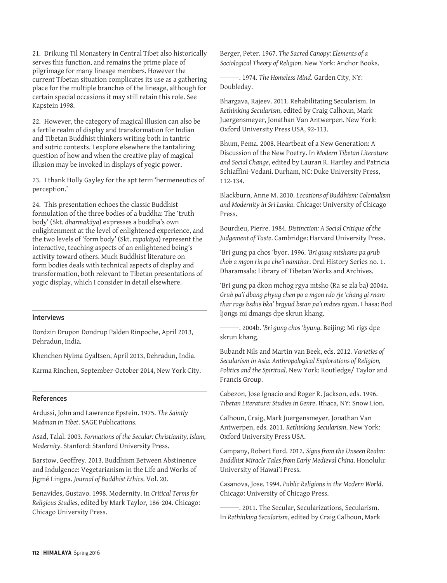21. Drikung Til Monastery in Central Tibet also historically serves this function, and remains the prime place of pilgrimage for many lineage members. However the current Tibetan situation complicates its use as a gathering place for the multiple branches of the lineage, although for certain special occasions it may still retain this role. See Kapstein 1998.

22. However, the category of magical illusion can also be a fertile realm of display and transformation for Indian and Tibetan Buddhist thinkers writing both in tantric and sutric contexts. I explore elsewhere the tantalizing question of how and when the creative play of magical illusion may be invoked in displays of yogic power.

23. I thank Holly Gayley for the apt term 'hermeneutics of perception.'

24. This presentation echoes the classic Buddhist formulation of the three bodies of a buddha: The 'truth body' (Skt. *dharmakāya*) expresses a buddha's own enlightenment at the level of enlightened experience, and the two levels of 'form body' (Skt. *rupakāya*) represent the interactive, teaching aspects of an enlightened being's activity toward others. Much Buddhist literature on form bodies deals with technical aspects of display and transformation, both relevant to Tibetan presentations of yogic display, which I consider in detail elsewhere.

#### Interviews

Dordzin Drupon Dondrup Palden Rinpoche, April 2013, Dehradun, India.

Khenchen Nyima Gyaltsen, April 2013, Dehradun, India.

Karma Rinchen, September-October 2014, New York City.

#### References

Ardussi, John and Lawrence Epstein. 1975. *The Saintly Madman in Tibet*. SAGE Publications.

Asad, Talal. 2003. *Formations of the Secular: Christianity, Islam, Modernity*. Stanford: Stanford University Press.

Barstow, Geoffrey. 2013. Buddhism Between Abstinence and Indulgence: Vegetarianism in the Life and Works of Jigmé Lingpa. *Journal of Buddhist Ethics*. Vol. 20.

Benavides, Gustavo. 1998. Modernity. In *Critical Terms for Religious Studies*, edited by Mark Taylor, 186-204. Chicago: Chicago University Press.

Berger, Peter. 1967. *The Sacred Canopy: Elements of a Sociological Theory of Religion*. New York: Anchor Books.

 . 1974. *The Homeless Mind*. Garden City, NY: Doubleday.

Bhargava, Rajeev. 2011. Rehabilitating Secularism. In *Rethinking Secularism*, edited by Craig Calhoun, Mark Juergensmeyer, Jonathan Van Antwerpen. New York: Oxford University Press USA, 92-113.

Bhum, Pema. 2008. Heartbeat of a New Generation: A Discussion of the New Poetry. In *Modern Tibetan Literature and Social Change*, edited by Lauran R. Hartley and Patricia Schiaffini-Vedani. Durham, NC: Duke University Press, 112-134.

Blackburn, Anne M. 2010. *Locations of Buddhism: Colonialism and Modernity in Sri Lanka*. Chicago: University of Chicago Press.

Bourdieu, Pierre. 1984. *Distinction: A Social Critique of the Judgement of Taste*. Cambridge: Harvard University Press.

'Bri gung pa chos 'byor. 1996. *'Bri gung mtshams pa grub thob a mgon rin po che'i namthar*. Oral History Series no. 1. Dharamsala: Library of Tibetan Works and Archives.

'Bri gung pa dkon mchog rgya mtsho (Ra se zla ba) 2004a. *Grub pa'i dbang phyug chen po a mgon rdo rje 'chang gi rnam thar rags bsdus bka' brgyud bstan pa'i mdzes rgyan*. Lhasa: Bod ljongs mi dmangs dpe skrun khang.

 . 2004b. *'Bri gung chos 'byung*. Beijing: Mi rigs dpe skrun khang.

Bubandt Nils and Martin van Beek, eds. 2012. *Varieties of Secularism in Asia: Anthropological Explorations of Religion, Politics and the Spiritual*. New York: Routledge/ Taylor and Francis Group.

Cabezon, Jose Ignacio and Roger R. Jackson, eds. 1996. *Tibetan Literature: Studies in Genre*. Ithaca, NY: Snow Lion.

Calhoun, Craig, Mark Juergensmeyer, Jonathan Van Antwerpen, eds. 2011. *Rethinking Secularism*. New York: Oxford University Press USA.

Campany, Robert Ford. 2012. *Signs from the Unseen Realm: Buddhist Miracle Tales from Early Medieval China*. Honolulu: University of Hawai'i Press.

Casanova, Jose. 1994. *Public Religions in the Modern World*. Chicago: University of Chicago Press.

 . 2011. The Secular, Secularizations, Secularism. In *Rethinking Secularism*, edited by Craig Calhoun, Mark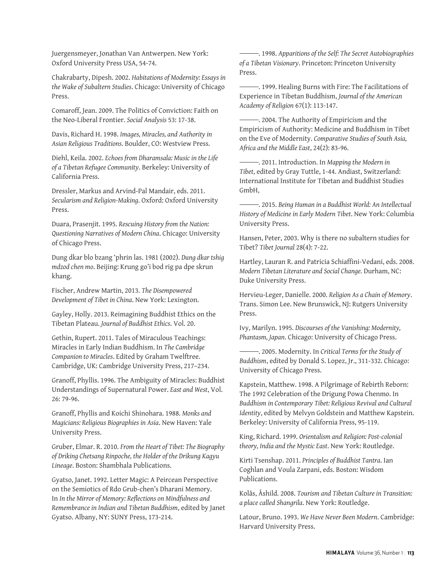Juergensmeyer, Jonathan Van Antwerpen. New York: Oxford University Press USA, 54-74.

Chakrabarty, Dipesh. 2002. *Habitations of Modernity: Essays in the Wake of Subaltern Studies*. Chicago: University of Chicago Press.

Comaroff, Jean. 2009. The Politics of Conviction: Faith on the Neo-Liberal Frontier. *Social Analysis* 53: 17-38.

Davis, Richard H. 1998. *Images, Miracles, and Authority in Asian Religious Traditions*. Boulder, CO: Westview Press.

Diehl, Keila. 2002. *Echoes from Dharamsala: Music in the Life of a Tibetan Refugee Community*. Berkeley: University of California Press.

Dressler, Markus and Arvind-Pal Mandair, eds. 2011. *Secularism and Religion-Making*. Oxford: Oxford University Press.

Duara, Prasenjit. 1995. *Rescuing History from the Nation: Questioning Narratives of Modern China*. Chicago: University of Chicago Press.

Dung dkar blo bzang 'phrin las. 1981 (2002). *Dung dkar tshig mdzod chen mo*. Beijing: Krung go'i bod rig pa dpe skrun khang.

Fischer, Andrew Martin, 2013. *The Disempowered Development of Tibet in China*. New York: Lexington.

Gayley, Holly. 2013. Reimagining Buddhist Ethics on the Tibetan Plateau. *Journal of Buddhist Ethics*. Vol. 20.

Gethin, Rupert. 2011. Tales of Miraculous Teachings: Miracles in Early Indian Buddhism. In *The Cambridge Companion to Miracles*. Edited by Graham Twelftree. Cambridge, UK: Cambridge University Press, 217–234.

Granoff, Phyllis. 1996. The Ambiguity of Miracles: Buddhist Understandings of Supernatural Power. *East and West*, Vol. 26: 79-96.

Granoff, Phyllis and Koichi Shinohara. 1988. *Monks and Magicians: Religious Biographies in Asia*. New Haven: Yale University Press.

Gruber, Elmar. R. 2010. *From the Heart of Tibet: The Biography of Driking Chetsang Rinpoche, the Holder of the Drikung Kagyu Lineage*. Boston: Shambhala Publications.

Gyatso, Janet. 1992. Letter Magic: A Peircean Perspective on the Semiotics of Rdo Grub-chen's Dharani Memory. In *In the Mirror of Memory: Reflections on Mindfulness and Remembrance in Indian and Tibetan Buddhism*, edited by Janet Gyatso. Albany, NY: SUNY Press, 173-214.

 . 1998. *Apparitions of the Self: The Secret Autobiographies of a Tibetan Visionary*. Princeton: Princeton University Press.

 . 1999. Healing Burns with Fire: The Facilitations of Experience in Tibetan Buddhism, *Journal of the American Academy of Religion* 67(1): 113-147.

 . 2004. The Authority of Empiricism and the Empiricism of Authority: Medicine and Buddhism in Tibet on the Eve of Modernity. *Comparative Studies of South Asia, Africa and the Middle East*, 24(2): 83-96.

 . 2011. Introduction. In *Mapping the Modern in Tibet*, edited by Gray Tuttle, 1-44. Andiast, Switzerland: International Institute for Tibetan and Buddhist Studies GmbH,

 . 2015. *Being Human in a Buddhist World: An Intellectual History of Medicine in Early Modern Tibet*. New York: Columbia University Press.

Hansen, Peter, 2003. Why is there no subaltern studies for Tibet? *Tibet Journal* 28(4): 7-22.

Hartley, Lauran R. and Patricia Schiaffini-Vedani, eds. 2008. *Modern Tibetan Literature and Social Change.* Durham, NC: Duke University Press.

Hervieu-Leger, Danielle. 2000. *Religion As a Chain of Memory*. Trans. Simon Lee. New Brunswick, NJ: Rutgers University Press.

Ivy, Marilyn. 1995. *Discourses of the Vanishing: Modernity, Phantasm, Japan*. Chicago: University of Chicago Press.

 . 2005. Modernity. In *Critical Terms for the Study of Buddhism*, edited by Donald S. Lopez, Jr., 311-332. Chicago: University of Chicago Press.

Kapstein, Matthew. 1998. A Pilgrimage of Rebirth Reborn: The 1992 Celebration of the Drigung Powa Chenmo. In *Buddhism in Contemporary Tibet: Religious Revival and Cultural Identity*, edited by Melvyn Goldstein and Matthew Kapstein. Berkeley: University of California Press, 95-119.

King, Richard. 1999. *Orientalism and Religion: Post-colonial theory, India and the Mystic East*. New York: Routledge.

Kirti Tsenshap. 2011. *Principles of Buddhist Tantra*. Ian Coghlan and Voula Zarpani, eds. Boston: Wisdom Publications.

Kolås, Åshild. 2008. *Tourism and Tibetan Culture in Transition: a place called Shangrila*. New York: Routledge.

Latour, Bruno. 1993. *We Have Never Been Modern*. Cambridge: Harvard University Press.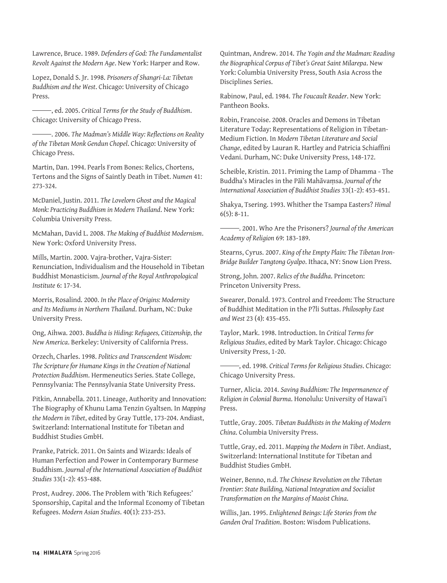Lawrence, Bruce. 1989. *Defenders of God: The Fundamentalist Revolt Against the Modern Age*. New York: Harper and Row.

Lopez, Donald S. Jr. 1998. *Prisoners of Shangri-La: Tibetan Buddhism and the West*. Chicago: University of Chicago Press.

 , ed. 2005. *Critical Terms for the Study of Buddhism*. Chicago: University of Chicago Press.

 . 2006. *The Madman's Middle Way: Reflections on Reality of the Tibetan Monk Gendun Chopel*. Chicago: University of Chicago Press.

Martin, Dan. 1994. Pearls From Bones: Relics, Chortens, Tertons and the Signs of Saintly Death in Tibet. *Numen* 41: 273-324.

McDaniel, Justin. 2011. *The Lovelorn Ghost and the Magical Monk: Practicing Buddhism in Modern Thailand*. New York: Columbia University Press.

McMahan, David L. 2008. *The Making of Buddhist Modernism*. New York: Oxford University Press.

Mills, Martin. 2000. Vajra-brother, Vajra-Sister: Renunciation, Individualism and the Household in Tibetan Buddhist Monasticism. *Journal of the Royal Anthropological Institute* 6: 17-34.

Morris, Rosalind. 2000. *In the Place of Origins: Modernity and Its Mediums in Northern Thailand*. Durham, NC: Duke University Press.

Ong, Aihwa. 2003. *Buddha is Hiding: Refugees, Citizenship, the New America*. Berkeley: University of California Press.

Orzech, Charles. 1998. *Politics and Transcendent Wisdom: The Scripture for Humane Kings in the Creation of National Protection Buddhism*. Hermeneutics Series. State College, Pennsylvania: The Pennsylvania State University Press.

Pitkin, Annabella. 2011. Lineage, Authority and Innovation: The Biography of Khunu Lama Tenzin Gyaltsen. In *Mapping the Modern in Tibet*, edited by Gray Tuttle, 173-204. Andiast, Switzerland: International Institute for Tibetan and Buddhist Studies GmbH.

Pranke, Patrick. 2011. On Saints and Wizards: Ideals of Human Perfection and Power in Contemporary Burmese Buddhism. *Journal of the International Association of Buddhist Studies* 33(1-2): 453-488.

Prost, Audrey. 2006. The Problem with 'Rich Refugees:' Sponsorship, Capital and the Informal Economy of Tibetan Refugees. *Modern Asian Studies*. 40(1): 233-253.

Quintman, Andrew. 2014. *The Yogin and the Madman: Reading the Biographical Corpus of Tibet's Great Saint Milarepa*. New York: Columbia University Press, South Asia Across the Disciplines Series.

Rabinow, Paul, ed. 1984. *The Foucault Reader*. New York: Pantheon Books.

Robin, Francoise. 2008. Oracles and Demons in Tibetan Literature Today: Representations of Religion in Tibetan-Medium Fiction. In *Modern Tibetan Literature and Social Change*, edited by Lauran R. Hartley and Patricia Schiaffini Vedani. Durham, NC: Duke University Press, 148-172.

Scheible, Kristin. 2011. Priming the Lamp of Dhamma - The Buddha's Miracles in the Pāli Mahāvaṃsa. *Journal of the International Association of Buddhist Studies* 33(1-2): 453-451.

Shakya, Tsering. 1993. Whither the Tsampa Easters? *Himal*  $6(5): 8-11.$ 

 . 2001. Who Are the Prisoners? *Journal of the American Academy of Religion* 69: 183-189.

Stearns, Cyrus. 2007. *King of the Empty Plain: The Tibetan Iron-Bridge Builder Tangtong Gyalpo*. Ithaca, NY: Snow Lion Press.

Strong, John. 2007. *Relics of the Buddha*. Princeton: Princeton University Press.

Swearer, Donald. 1973. Control and Freedom: The Structure of Buddhist Meditation in the P?li Suttas. *Philosophy East and West* 23 (4): 435-455.

Taylor, Mark. 1998. Introduction. In *Critical Terms for Religious Studies*, edited by Mark Taylor. Chicago: Chicago University Press, 1-20.

 , ed. 1998. *Critical Terms for Religious Studies*. Chicago: Chicago University Press.

Turner, Alicia. 2014. *Saving Buddhism: The Impermanence of Religion in Colonial Burma*. Honolulu: University of Hawai'i Press.

Tuttle, Gray. 2005. *Tibetan Buddhists in the Making of Modern China*. Columbia University Press.

Tuttle, Gray, ed. 2011. *Mapping the Modern in Tibet*. Andiast, Switzerland: International Institute for Tibetan and Buddhist Studies GmbH.

Weiner, Benno, n.d. *The Chinese Revolution on the Tibetan Frontier: State Building, National Integration and Socialist Transformation on the Margins of Maoist China*.

Willis, Jan. 1995. *Enlightened Beings: Life Stories from the Ganden Oral Tradition*. Boston: Wisdom Publications.